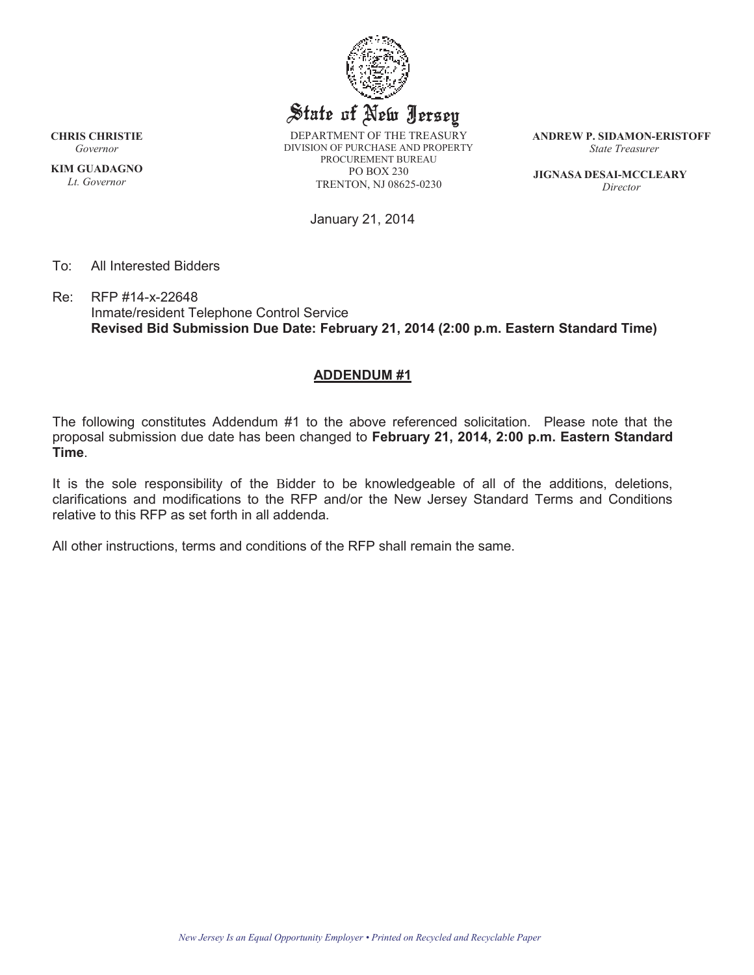

**KIM GUADAGNO** *Lt. Governor*

DEPARTMENT OF THE TREASURY DIVISION OF PURCHASE AND PROPERTY PROCUREMENT BUREAU PO BOX 230 TRENTON, NJ 08625-0230

**ANDREW P. SIDAMON-ERISTOFF** *State Treasurer*

**JIGNASA DESAI-MCCLEARY** *Director*

January 21, 2014

To: All Interested Bidders

Re: RFP #14-x-22648 Inmate/resident Telephone Control Service **Revised Bid Submission Due Date: February 21, 2014 (2:00 p.m. Eastern Standard Time)**

## **ADDENDUM #1**

The following constitutes Addendum #1 to the above referenced solicitation. Please note that the proposal submission due date has been changed to **February 21, 2014, 2:00 p.m. Eastern Standard Time**.

It is the sole responsibility of the Bidder to be knowledgeable of all of the additions, deletions, clarifications and modifications to the RFP and/or the New Jersey Standard Terms and Conditions relative to this RFP as set forth in all addenda.

All other instructions, terms and conditions of the RFP shall remain the same.

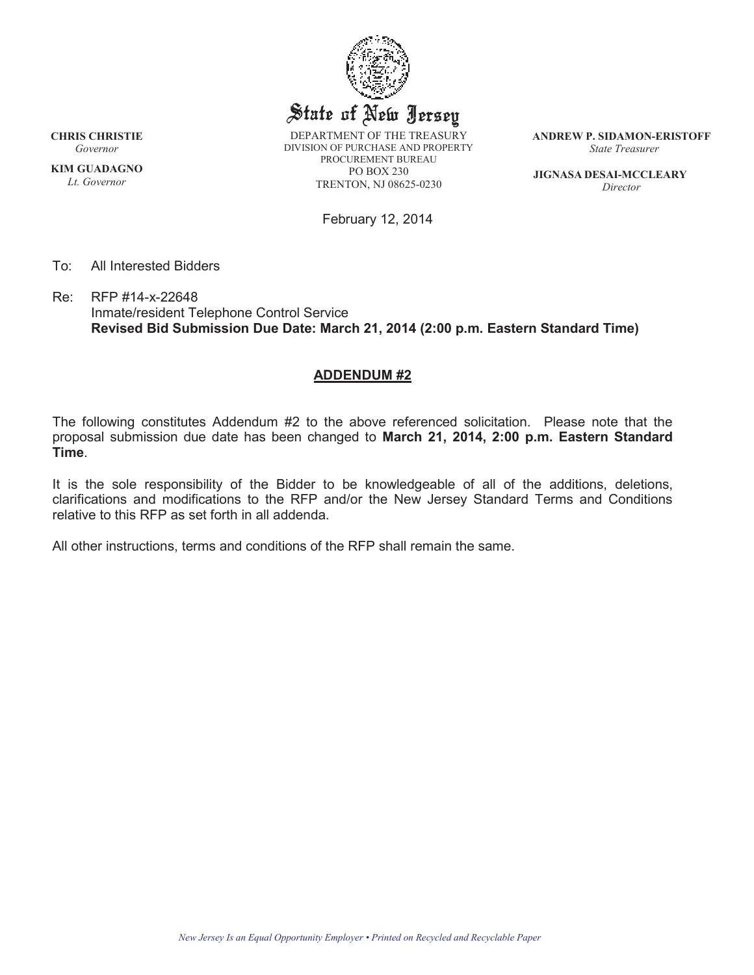

**KIM GUADAGNO** *Lt. Governor*

DEPARTMENT OF THE TREASURY DIVISION OF PURCHASE AND PROPERTY PROCUREMENT BUREAU PO BOX 230 TRENTON, NJ 08625-0230

**ANDREW P. SIDAMON-ERISTOFF** *State Treasurer*

**JIGNASA DESAI-MCCLEARY** *Director*

February 12, 2014

To: All Interested Bidders

Re: RFP #14-x-22648 Inmate/resident Telephone Control Service **Revised Bid Submission Due Date: March 21, 2014 (2:00 p.m. Eastern Standard Time)**

## **ADDENDUM #2**

The following constitutes Addendum #2 to the above referenced solicitation. Please note that the proposal submission due date has been changed to **March 21, 2014, 2:00 p.m. Eastern Standard Time**.

It is the sole responsibility of the Bidder to be knowledgeable of all of the additions, deletions, clarifications and modifications to the RFP and/or the New Jersey Standard Terms and Conditions relative to this RFP as set forth in all addenda.

All other instructions, terms and conditions of the RFP shall remain the same.

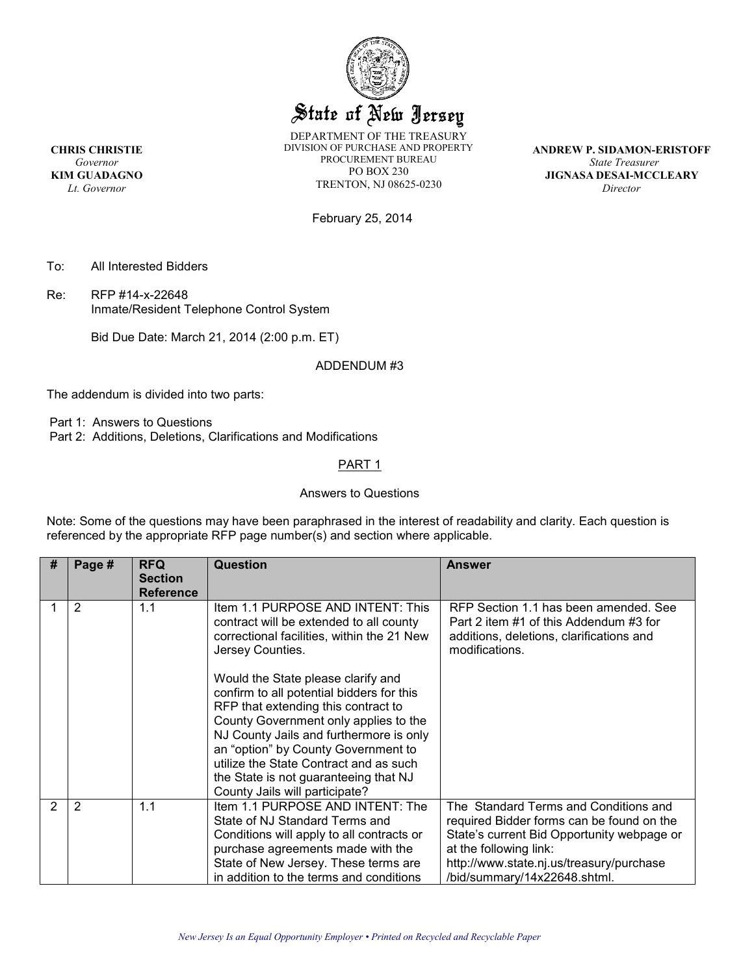

DEPARTMENT OF THE TREASURY DIVISION OF PURCHASE AND PROPERTY PROCUREMENT BUREAU PO BOX 230 TRENTON, NJ 08625-0230

**ANDREW P. SIDAMON-ERISTOFF** *State Treasurer*  **JIGNASA DESAI-MCCLEARY**  *Director* 

February 25, 2014

To: All Interested Bidders

Re: RFP #14-x-22648 Inmate/Resident Telephone Control System

Bid Due Date: March 21, 2014 (2:00 p.m. ET)

ADDENDUM #3

The addendum is divided into two parts:

Part 1: Answers to Questions

Part 2: Additions, Deletions, Clarifications and Modifications

#### PART<sub>1</sub>

#### Answers to Questions

Note: Some of the questions may have been paraphrased in the interest of readability and clarity. Each question is referenced by the appropriate RFP page number(s) and section where applicable.

| # | Page # | <b>RFQ</b><br><b>Section</b><br><b>Reference</b> | <b>Question</b>                                                                                                                                                                                                                                                                                                                                                                                                                                                                                                          | <b>Answer</b>                                                                                                                                                                                                                          |
|---|--------|--------------------------------------------------|--------------------------------------------------------------------------------------------------------------------------------------------------------------------------------------------------------------------------------------------------------------------------------------------------------------------------------------------------------------------------------------------------------------------------------------------------------------------------------------------------------------------------|----------------------------------------------------------------------------------------------------------------------------------------------------------------------------------------------------------------------------------------|
|   | 2      | 1.1                                              | Item 1.1 PURPOSE AND INTENT: This<br>contract will be extended to all county<br>correctional facilities, within the 21 New<br>Jersey Counties.<br>Would the State please clarify and<br>confirm to all potential bidders for this<br>RFP that extending this contract to<br>County Government only applies to the<br>NJ County Jails and furthermore is only<br>an "option" by County Government to<br>utilize the State Contract and as such<br>the State is not guaranteeing that NJ<br>County Jails will participate? | RFP Section 1.1 has been amended. See<br>Part 2 item #1 of this Addendum #3 for<br>additions, deletions, clarifications and<br>modifications.                                                                                          |
| 2 | 2      | 1.1                                              | Item 1.1 PURPOSE AND INTENT: The<br>State of NJ Standard Terms and<br>Conditions will apply to all contracts or<br>purchase agreements made with the<br>State of New Jersey. These terms are<br>in addition to the terms and conditions                                                                                                                                                                                                                                                                                  | The Standard Terms and Conditions and<br>required Bidder forms can be found on the<br>State's current Bid Opportunity webpage or<br>at the following link:<br>http://www.state.nj.us/treasury/purchase<br>/bid/summary/14x22648.shtml. |

**CHRIS CHRISTIE** *Governor* **KIM GUADAGNO** *Lt. Governor*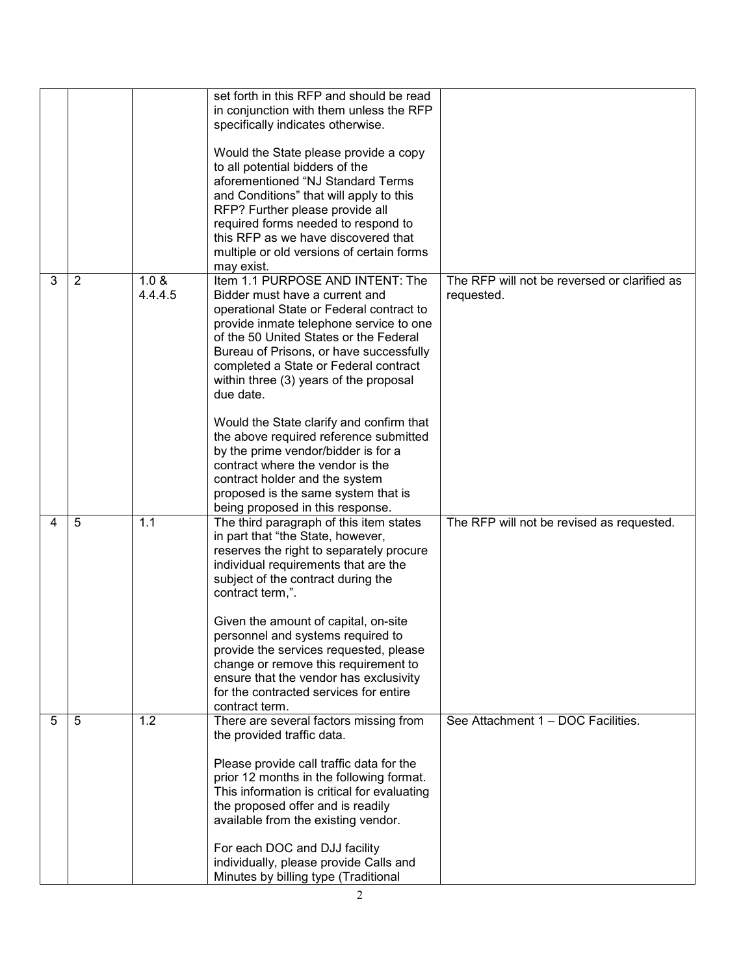|   |                |                  | set forth in this RFP and should be read<br>in conjunction with them unless the RFP<br>specifically indicates otherwise.<br>Would the State please provide a copy<br>to all potential bidders of the<br>aforementioned "NJ Standard Terms<br>and Conditions" that will apply to this<br>RFP? Further please provide all<br>required forms needed to respond to<br>this RFP as we have discovered that<br>multiple or old versions of certain forms<br>may exist.                                                                                                                                                             |                                                            |
|---|----------------|------------------|------------------------------------------------------------------------------------------------------------------------------------------------------------------------------------------------------------------------------------------------------------------------------------------------------------------------------------------------------------------------------------------------------------------------------------------------------------------------------------------------------------------------------------------------------------------------------------------------------------------------------|------------------------------------------------------------|
| 3 | $\overline{2}$ | 1.0 &<br>4.4.4.5 | Item 1.1 PURPOSE AND INTENT: The<br>Bidder must have a current and<br>operational State or Federal contract to<br>provide inmate telephone service to one<br>of the 50 United States or the Federal<br>Bureau of Prisons, or have successfully<br>completed a State or Federal contract<br>within three (3) years of the proposal<br>due date.<br>Would the State clarify and confirm that<br>the above required reference submitted<br>by the prime vendor/bidder is for a<br>contract where the vendor is the<br>contract holder and the system<br>proposed is the same system that is<br>being proposed in this response. | The RFP will not be reversed or clarified as<br>requested. |
| 4 | 5              | 1.1              | The third paragraph of this item states<br>in part that "the State, however,<br>reserves the right to separately procure<br>individual requirements that are the<br>subject of the contract during the<br>contract term,".<br>Given the amount of capital, on-site<br>personnel and systems required to<br>provide the services requested, please<br>change or remove this requirement to<br>ensure that the vendor has exclusivity<br>for the contracted services for entire<br>contract term.                                                                                                                              | The RFP will not be revised as requested.                  |
| 5 | 5              | $\overline{1.2}$ | There are several factors missing from<br>the provided traffic data.<br>Please provide call traffic data for the<br>prior 12 months in the following format.<br>This information is critical for evaluating<br>the proposed offer and is readily<br>available from the existing vendor.<br>For each DOC and DJJ facility<br>individually, please provide Calls and<br>Minutes by billing type (Traditional                                                                                                                                                                                                                   | See Attachment 1 - DOC Facilities.                         |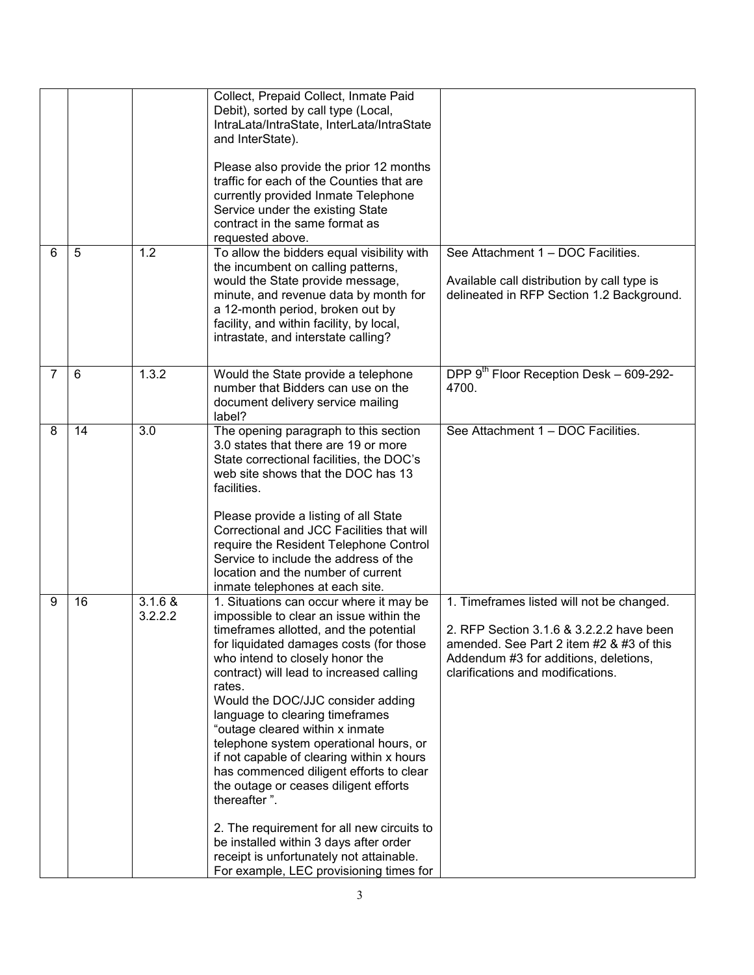|                |    |                    | Collect, Prepaid Collect, Inmate Paid<br>Debit), sorted by call type (Local,<br>IntraLata/IntraState, InterLata/IntraState<br>and InterState).<br>Please also provide the prior 12 months<br>traffic for each of the Counties that are<br>currently provided Inmate Telephone<br>Service under the existing State<br>contract in the same format as<br>requested above.                                                                                                                                                                                                                                                                                                                                                                               |                                                                                                                                                                                                                 |
|----------------|----|--------------------|-------------------------------------------------------------------------------------------------------------------------------------------------------------------------------------------------------------------------------------------------------------------------------------------------------------------------------------------------------------------------------------------------------------------------------------------------------------------------------------------------------------------------------------------------------------------------------------------------------------------------------------------------------------------------------------------------------------------------------------------------------|-----------------------------------------------------------------------------------------------------------------------------------------------------------------------------------------------------------------|
| 6              | 5  | 1.2                | To allow the bidders equal visibility with<br>the incumbent on calling patterns,<br>would the State provide message,<br>minute, and revenue data by month for<br>a 12-month period, broken out by<br>facility, and within facility, by local,<br>intrastate, and interstate calling?                                                                                                                                                                                                                                                                                                                                                                                                                                                                  | See Attachment 1 - DOC Facilities.<br>Available call distribution by call type is<br>delineated in RFP Section 1.2 Background.                                                                                  |
| $\overline{7}$ | 6  | 1.3.2              | Would the State provide a telephone<br>number that Bidders can use on the<br>document delivery service mailing<br>label?                                                                                                                                                                                                                                                                                                                                                                                                                                                                                                                                                                                                                              | DPP 9 <sup>th</sup> Floor Reception Desk – 609-292-<br>4700.                                                                                                                                                    |
| 8              | 14 | 3.0                | The opening paragraph to this section<br>3.0 states that there are 19 or more<br>State correctional facilities, the DOC's<br>web site shows that the DOC has 13<br>facilities.<br>Please provide a listing of all State<br>Correctional and JCC Facilities that will<br>require the Resident Telephone Control<br>Service to include the address of the<br>location and the number of current<br>inmate telephones at each site.                                                                                                                                                                                                                                                                                                                      | See Attachment 1 - DOC Facilities.                                                                                                                                                                              |
| 9              | 16 | 3.1.6 &<br>3.2.2.2 | 1. Situations can occur where it may be<br>impossible to clear an issue within the<br>timeframes allotted, and the potential<br>for liquidated damages costs (for those<br>who intend to closely honor the<br>contract) will lead to increased calling<br>rates.<br>Would the DOC/JJC consider adding<br>language to clearing timeframes<br>"outage cleared within x inmate<br>telephone system operational hours, or<br>if not capable of clearing within x hours<br>has commenced diligent efforts to clear<br>the outage or ceases diligent efforts<br>thereafter".<br>2. The requirement for all new circuits to<br>be installed within 3 days after order<br>receipt is unfortunately not attainable.<br>For example, LEC provisioning times for | 1. Timeframes listed will not be changed.<br>2. RFP Section 3.1.6 & 3.2.2.2 have been<br>amended. See Part 2 item #2 & #3 of this<br>Addendum #3 for additions, deletions,<br>clarifications and modifications. |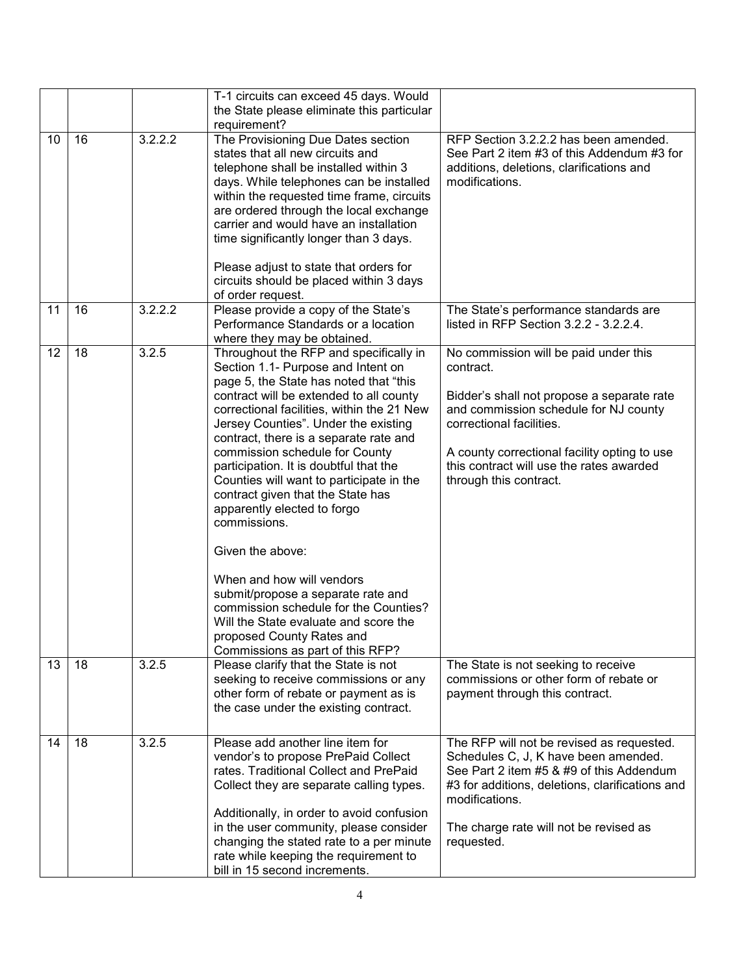|                 |    |         | T-1 circuits can exceed 45 days. Would<br>the State please eliminate this particular<br>requirement?                                                                                                                                                                                                                                                                                                                                                                                                                                                                                                                                                                                                                                                    |                                                                                                                                                                                                                                                                                             |
|-----------------|----|---------|---------------------------------------------------------------------------------------------------------------------------------------------------------------------------------------------------------------------------------------------------------------------------------------------------------------------------------------------------------------------------------------------------------------------------------------------------------------------------------------------------------------------------------------------------------------------------------------------------------------------------------------------------------------------------------------------------------------------------------------------------------|---------------------------------------------------------------------------------------------------------------------------------------------------------------------------------------------------------------------------------------------------------------------------------------------|
| 10 <sup>1</sup> | 16 | 3.2.2.2 | The Provisioning Due Dates section<br>states that all new circuits and<br>telephone shall be installed within 3<br>days. While telephones can be installed<br>within the requested time frame, circuits<br>are ordered through the local exchange<br>carrier and would have an installation<br>time significantly longer than 3 days.<br>Please adjust to state that orders for<br>circuits should be placed within 3 days<br>of order request.                                                                                                                                                                                                                                                                                                         | RFP Section 3.2.2.2 has been amended.<br>See Part 2 item #3 of this Addendum #3 for<br>additions, deletions, clarifications and<br>modifications.                                                                                                                                           |
| 11              | 16 | 3.2.2.2 | Please provide a copy of the State's<br>Performance Standards or a location<br>where they may be obtained.                                                                                                                                                                                                                                                                                                                                                                                                                                                                                                                                                                                                                                              | The State's performance standards are<br>listed in RFP Section 3.2.2 - 3.2.2.4.                                                                                                                                                                                                             |
| 12              | 18 | 3.2.5   | Throughout the RFP and specifically in<br>Section 1.1- Purpose and Intent on<br>page 5, the State has noted that "this<br>contract will be extended to all county<br>correctional facilities, within the 21 New<br>Jersey Counties". Under the existing<br>contract, there is a separate rate and<br>commission schedule for County<br>participation. It is doubtful that the<br>Counties will want to participate in the<br>contract given that the State has<br>apparently elected to forgo<br>commissions.<br>Given the above:<br>When and how will vendors<br>submit/propose a separate rate and<br>commission schedule for the Counties?<br>Will the State evaluate and score the<br>proposed County Rates and<br>Commissions as part of this RFP? | No commission will be paid under this<br>contract.<br>Bidder's shall not propose a separate rate<br>and commission schedule for NJ county<br>correctional facilities.<br>A county correctional facility opting to use<br>this contract will use the rates awarded<br>through this contract. |
| 13              | 18 | 3.2.5   | Please clarify that the State is not<br>seeking to receive commissions or any<br>other form of rebate or payment as is<br>the case under the existing contract.                                                                                                                                                                                                                                                                                                                                                                                                                                                                                                                                                                                         | The State is not seeking to receive<br>commissions or other form of rebate or<br>payment through this contract.                                                                                                                                                                             |
| 14              | 18 | 3.2.5   | Please add another line item for<br>vendor's to propose PrePaid Collect<br>rates. Traditional Collect and PrePaid<br>Collect they are separate calling types.<br>Additionally, in order to avoid confusion<br>in the user community, please consider<br>changing the stated rate to a per minute<br>rate while keeping the requirement to<br>bill in 15 second increments.                                                                                                                                                                                                                                                                                                                                                                              | The RFP will not be revised as requested.<br>Schedules C, J, K have been amended.<br>See Part 2 item #5 & #9 of this Addendum<br>#3 for additions, deletions, clarifications and<br>modifications.<br>The charge rate will not be revised as<br>requested.                                  |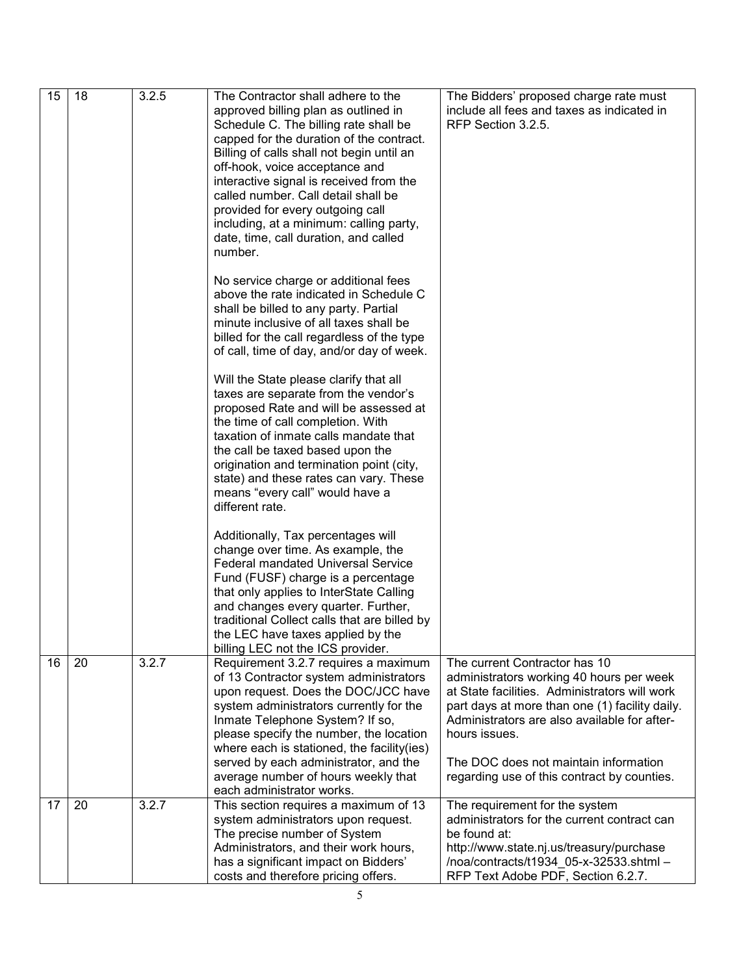| 15 | 18 | 3.2.5 | The Contractor shall adhere to the<br>approved billing plan as outlined in<br>Schedule C. The billing rate shall be<br>capped for the duration of the contract.<br>Billing of calls shall not begin until an<br>off-hook, voice acceptance and<br>interactive signal is received from the<br>called number. Call detail shall be<br>provided for every outgoing call<br>including, at a minimum: calling party,<br>date, time, call duration, and called<br>number.<br>No service charge or additional fees<br>above the rate indicated in Schedule C<br>shall be billed to any party. Partial<br>minute inclusive of all taxes shall be<br>billed for the call regardless of the type<br>of call, time of day, and/or day of week.<br>Will the State please clarify that all<br>taxes are separate from the vendor's<br>proposed Rate and will be assessed at<br>the time of call completion. With<br>taxation of inmate calls mandate that<br>the call be taxed based upon the<br>origination and termination point (city,<br>state) and these rates can vary. These | The Bidders' proposed charge rate must<br>include all fees and taxes as indicated in<br>RFP Section 3.2.5.                                                                                                                                                                                           |
|----|----|-------|------------------------------------------------------------------------------------------------------------------------------------------------------------------------------------------------------------------------------------------------------------------------------------------------------------------------------------------------------------------------------------------------------------------------------------------------------------------------------------------------------------------------------------------------------------------------------------------------------------------------------------------------------------------------------------------------------------------------------------------------------------------------------------------------------------------------------------------------------------------------------------------------------------------------------------------------------------------------------------------------------------------------------------------------------------------------|------------------------------------------------------------------------------------------------------------------------------------------------------------------------------------------------------------------------------------------------------------------------------------------------------|
| 16 | 20 | 3.2.7 | means "every call" would have a<br>different rate.<br>Additionally, Tax percentages will<br>change over time. As example, the<br>Federal mandated Universal Service<br>Fund (FUSF) charge is a percentage<br>that only applies to InterState Calling<br>and changes every quarter. Further,<br>traditional Collect calls that are billed by<br>the LEC have taxes applied by the<br>billing LEC not the ICS provider.<br>Requirement 3.2.7 requires a maximum                                                                                                                                                                                                                                                                                                                                                                                                                                                                                                                                                                                                          | The current Contractor has 10                                                                                                                                                                                                                                                                        |
|    |    |       | of 13 Contractor system administrators<br>upon request. Does the DOC/JCC have<br>system administrators currently for the<br>Inmate Telephone System? If so,<br>please specify the number, the location<br>where each is stationed, the facility(ies)<br>served by each administrator, and the<br>average number of hours weekly that<br>each administrator works.                                                                                                                                                                                                                                                                                                                                                                                                                                                                                                                                                                                                                                                                                                      | administrators working 40 hours per week<br>at State facilities. Administrators will work<br>part days at more than one (1) facility daily.<br>Administrators are also available for after-<br>hours issues.<br>The DOC does not maintain information<br>regarding use of this contract by counties. |
| 17 | 20 | 3.2.7 | This section requires a maximum of 13<br>system administrators upon request.<br>The precise number of System<br>Administrators, and their work hours,<br>has a significant impact on Bidders'<br>costs and therefore pricing offers.                                                                                                                                                                                                                                                                                                                                                                                                                                                                                                                                                                                                                                                                                                                                                                                                                                   | The requirement for the system<br>administrators for the current contract can<br>be found at:<br>http://www.state.nj.us/treasury/purchase<br>/noa/contracts/t1934_05-x-32533.shtml -<br>RFP Text Adobe PDF, Section 6.2.7.                                                                           |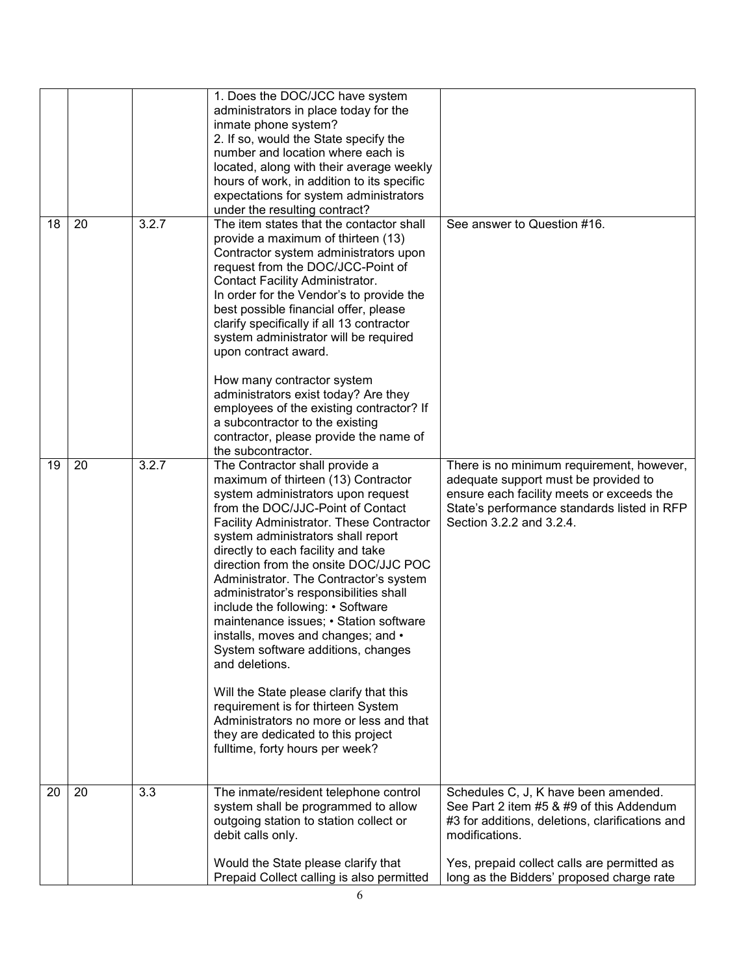|          |       | 1. Does the DOC/JCC have system<br>administrators in place today for the<br>inmate phone system?<br>2. If so, would the State specify the<br>number and location where each is<br>located, along with their average weekly<br>hours of work, in addition to its specific<br>expectations for system administrators<br>under the resulting contract?                                                                                                                                                                                                                                                                                                                                                                                                                                     |                                                                                                                                                                                                           |
|----------|-------|-----------------------------------------------------------------------------------------------------------------------------------------------------------------------------------------------------------------------------------------------------------------------------------------------------------------------------------------------------------------------------------------------------------------------------------------------------------------------------------------------------------------------------------------------------------------------------------------------------------------------------------------------------------------------------------------------------------------------------------------------------------------------------------------|-----------------------------------------------------------------------------------------------------------------------------------------------------------------------------------------------------------|
| 18<br>20 | 3.2.7 | The item states that the contactor shall<br>provide a maximum of thirteen (13)<br>Contractor system administrators upon<br>request from the DOC/JCC-Point of<br>Contact Facility Administrator.<br>In order for the Vendor's to provide the<br>best possible financial offer, please<br>clarify specifically if all 13 contractor<br>system administrator will be required<br>upon contract award.<br>How many contractor system<br>administrators exist today? Are they<br>employees of the existing contractor? If<br>a subcontractor to the existing<br>contractor, please provide the name of<br>the subcontractor.                                                                                                                                                                 | See answer to Question #16.                                                                                                                                                                               |
| 19<br>20 | 3.2.7 | The Contractor shall provide a<br>maximum of thirteen (13) Contractor<br>system administrators upon request<br>from the DOC/JJC-Point of Contact<br>Facility Administrator. These Contractor<br>system administrators shall report<br>directly to each facility and take<br>direction from the onsite DOC/JJC POC<br>Administrator. The Contractor's system<br>administrator's responsibilities shall<br>include the following: • Software<br>maintenance issues; • Station software<br>installs, moves and changes; and •<br>System software additions, changes<br>and deletions.<br>Will the State please clarify that this<br>requirement is for thirteen System<br>Administrators no more or less and that<br>they are dedicated to this project<br>fulltime, forty hours per week? | There is no minimum requirement, however,<br>adequate support must be provided to<br>ensure each facility meets or exceeds the<br>State's performance standards listed in RFP<br>Section 3.2.2 and 3.2.4. |
| 20<br>20 | 3.3   | The inmate/resident telephone control<br>system shall be programmed to allow<br>outgoing station to station collect or<br>debit calls only.                                                                                                                                                                                                                                                                                                                                                                                                                                                                                                                                                                                                                                             | Schedules C, J, K have been amended.<br>See Part 2 item #5 & #9 of this Addendum<br>#3 for additions, deletions, clarifications and<br>modifications.                                                     |
|          |       | Would the State please clarify that<br>Prepaid Collect calling is also permitted                                                                                                                                                                                                                                                                                                                                                                                                                                                                                                                                                                                                                                                                                                        | Yes, prepaid collect calls are permitted as<br>long as the Bidders' proposed charge rate                                                                                                                  |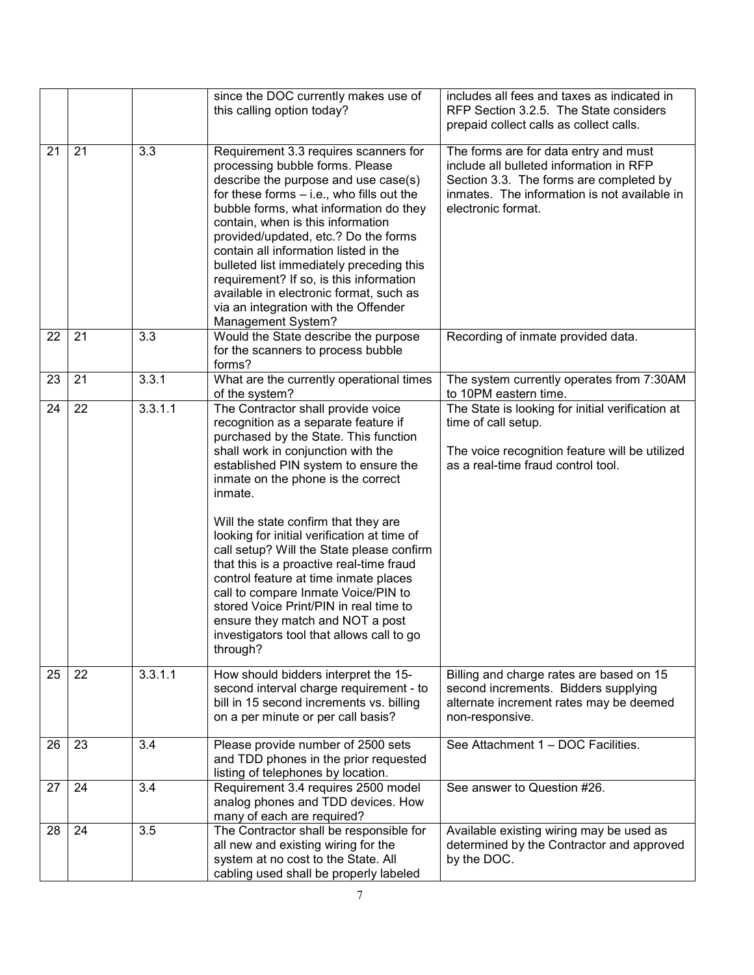|    |    |                  | since the DOC currently makes use of<br>this calling option today?                                                                                                                                                                                                                                                                                                                                                                                                                                                                                                                                                                                        | includes all fees and taxes as indicated in<br>RFP Section 3.2.5. The State considers<br>prepaid collect calls as collect calls.                                                                  |
|----|----|------------------|-----------------------------------------------------------------------------------------------------------------------------------------------------------------------------------------------------------------------------------------------------------------------------------------------------------------------------------------------------------------------------------------------------------------------------------------------------------------------------------------------------------------------------------------------------------------------------------------------------------------------------------------------------------|---------------------------------------------------------------------------------------------------------------------------------------------------------------------------------------------------|
| 21 | 21 | 3.3              | Requirement 3.3 requires scanners for<br>processing bubble forms. Please<br>describe the purpose and use case(s)<br>for these forms - i.e., who fills out the<br>bubble forms, what information do they<br>contain, when is this information<br>provided/updated, etc.? Do the forms<br>contain all information listed in the<br>bulleted list immediately preceding this<br>requirement? If so, is this information<br>available in electronic format, such as<br>via an integration with the Offender<br>Management System?                                                                                                                             | The forms are for data entry and must<br>include all bulleted information in RFP<br>Section 3.3. The forms are completed by<br>inmates. The information is not available in<br>electronic format. |
| 22 | 21 | 3.3              | Would the State describe the purpose<br>for the scanners to process bubble<br>forms?                                                                                                                                                                                                                                                                                                                                                                                                                                                                                                                                                                      | Recording of inmate provided data.                                                                                                                                                                |
| 23 | 21 | 3.3.1            | What are the currently operational times<br>of the system?                                                                                                                                                                                                                                                                                                                                                                                                                                                                                                                                                                                                | The system currently operates from 7:30AM<br>to 10PM eastern time.                                                                                                                                |
| 24 | 22 | 3.3.1.1          | The Contractor shall provide voice<br>recognition as a separate feature if<br>purchased by the State. This function<br>shall work in conjunction with the<br>established PIN system to ensure the<br>inmate on the phone is the correct<br>inmate.<br>Will the state confirm that they are<br>looking for initial verification at time of<br>call setup? Will the State please confirm<br>that this is a proactive real-time fraud<br>control feature at time inmate places<br>call to compare Inmate Voice/PIN to<br>stored Voice Print/PIN in real time to<br>ensure they match and NOT a post<br>investigators tool that allows call to go<br>through? | The State is looking for initial verification at<br>time of call setup.<br>The voice recognition feature will be utilized<br>as a real-time fraud control tool.                                   |
| 25 | 22 | 3.3.1.1          | How should bidders interpret the 15-<br>second interval charge requirement - to<br>bill in 15 second increments vs. billing<br>on a per minute or per call basis?                                                                                                                                                                                                                                                                                                                                                                                                                                                                                         | Billing and charge rates are based on 15<br>second increments. Bidders supplying<br>alternate increment rates may be deemed<br>non-responsive.                                                    |
| 26 | 23 | 3.4              | Please provide number of 2500 sets<br>and TDD phones in the prior requested<br>listing of telephones by location.                                                                                                                                                                                                                                                                                                                                                                                                                                                                                                                                         | See Attachment 1 - DOC Facilities.                                                                                                                                                                |
| 27 | 24 | 3.4              | Requirement 3.4 requires 2500 model<br>analog phones and TDD devices. How<br>many of each are required?                                                                                                                                                                                                                                                                                                                                                                                                                                                                                                                                                   | See answer to Question #26.                                                                                                                                                                       |
| 28 | 24 | $\overline{3.5}$ | The Contractor shall be responsible for<br>all new and existing wiring for the<br>system at no cost to the State. All<br>cabling used shall be properly labeled                                                                                                                                                                                                                                                                                                                                                                                                                                                                                           | Available existing wiring may be used as<br>determined by the Contractor and approved<br>by the DOC.                                                                                              |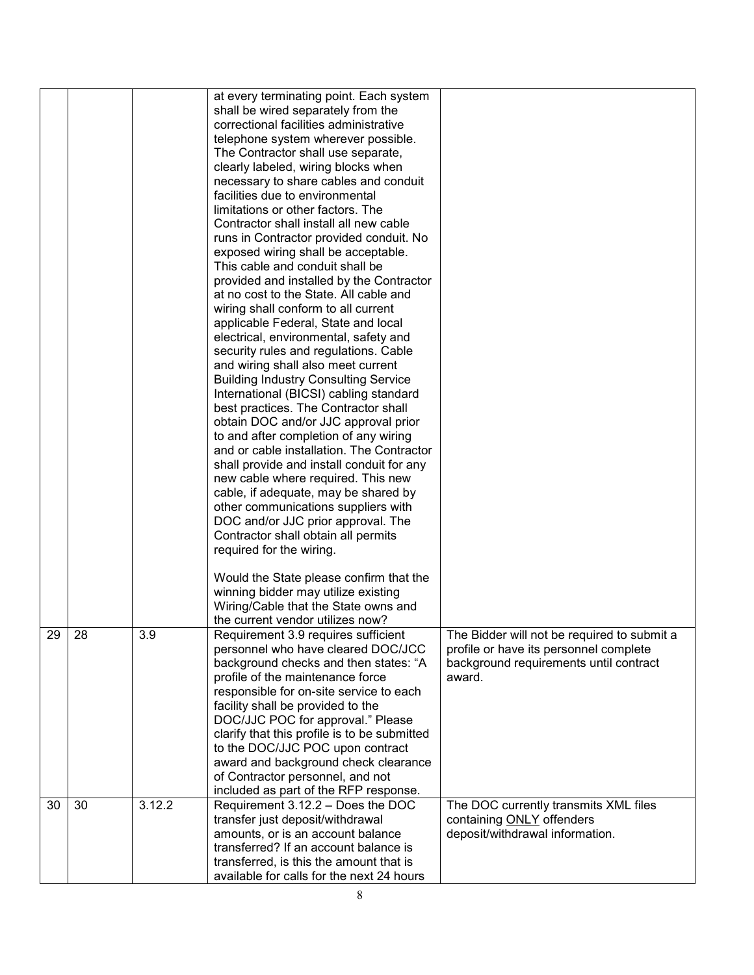|    |    |        | at every terminating point. Each system<br>shall be wired separately from the<br>correctional facilities administrative<br>telephone system wherever possible.<br>The Contractor shall use separate,<br>clearly labeled, wiring blocks when<br>necessary to share cables and conduit<br>facilities due to environmental<br>limitations or other factors. The<br>Contractor shall install all new cable<br>runs in Contractor provided conduit. No<br>exposed wiring shall be acceptable.<br>This cable and conduit shall be<br>provided and installed by the Contractor<br>at no cost to the State. All cable and<br>wiring shall conform to all current<br>applicable Federal, State and local<br>electrical, environmental, safety and<br>security rules and regulations. Cable<br>and wiring shall also meet current<br><b>Building Industry Consulting Service</b><br>International (BICSI) cabling standard<br>best practices. The Contractor shall<br>obtain DOC and/or JJC approval prior<br>to and after completion of any wiring<br>and or cable installation. The Contractor<br>shall provide and install conduit for any<br>new cable where required. This new<br>cable, if adequate, may be shared by<br>other communications suppliers with<br>DOC and/or JJC prior approval. The<br>Contractor shall obtain all permits<br>required for the wiring.<br>Would the State please confirm that the<br>winning bidder may utilize existing<br>Wiring/Cable that the State owns and<br>the current vendor utilizes now? |                                                                                                                                           |
|----|----|--------|---------------------------------------------------------------------------------------------------------------------------------------------------------------------------------------------------------------------------------------------------------------------------------------------------------------------------------------------------------------------------------------------------------------------------------------------------------------------------------------------------------------------------------------------------------------------------------------------------------------------------------------------------------------------------------------------------------------------------------------------------------------------------------------------------------------------------------------------------------------------------------------------------------------------------------------------------------------------------------------------------------------------------------------------------------------------------------------------------------------------------------------------------------------------------------------------------------------------------------------------------------------------------------------------------------------------------------------------------------------------------------------------------------------------------------------------------------------------------------------------------------------------------------|-------------------------------------------------------------------------------------------------------------------------------------------|
| 29 | 28 | 3.9    | Requirement 3.9 requires sufficient<br>personnel who have cleared DOC/JCC<br>background checks and then states: "A<br>profile of the maintenance force<br>responsible for on-site service to each<br>facility shall be provided to the<br>DOC/JJC POC for approval." Please<br>clarify that this profile is to be submitted<br>to the DOC/JJC POC upon contract<br>award and background check clearance<br>of Contractor personnel, and not<br>included as part of the RFP response.                                                                                                                                                                                                                                                                                                                                                                                                                                                                                                                                                                                                                                                                                                                                                                                                                                                                                                                                                                                                                                            | The Bidder will not be required to submit a<br>profile or have its personnel complete<br>background requirements until contract<br>award. |
| 30 | 30 | 3.12.2 | Requirement 3.12.2 - Does the DOC<br>transfer just deposit/withdrawal<br>amounts, or is an account balance<br>transferred? If an account balance is<br>transferred, is this the amount that is<br>available for calls for the next 24 hours                                                                                                                                                                                                                                                                                                                                                                                                                                                                                                                                                                                                                                                                                                                                                                                                                                                                                                                                                                                                                                                                                                                                                                                                                                                                                     | The DOC currently transmits XML files<br>containing ONLY offenders<br>deposit/withdrawal information.                                     |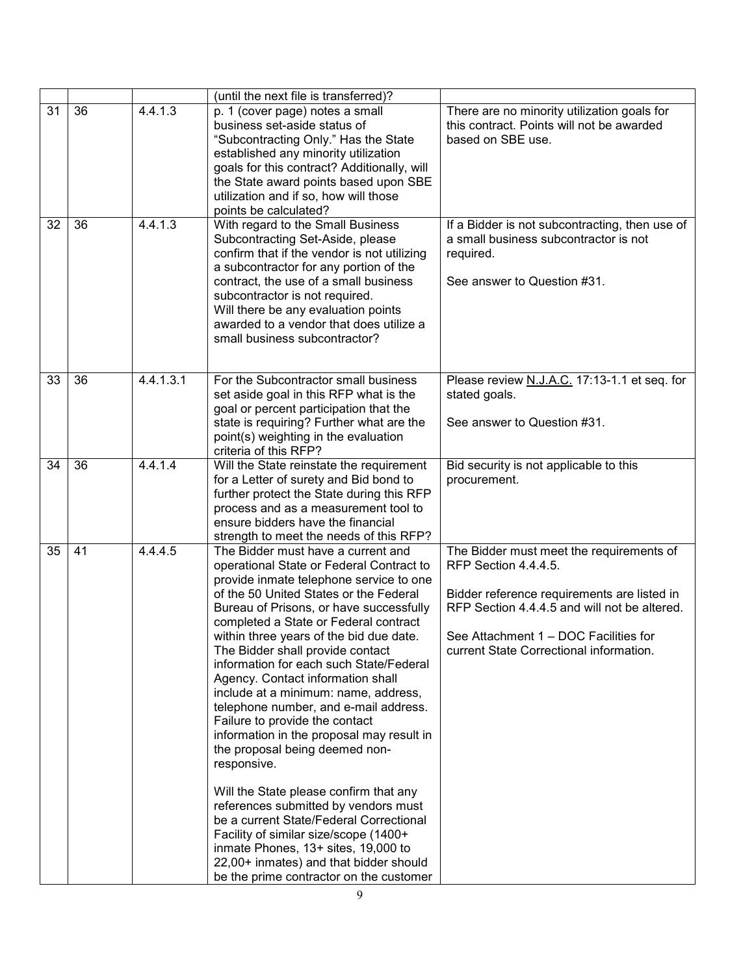|    |    |           | (until the next file is transferred)?                                                                                                                                                                                                                                                                                                                                                                                                                                                                                                                                                                                                                                                                                                                                                                                                                                                                                                     |                                                                                                                                                                                                                                                     |
|----|----|-----------|-------------------------------------------------------------------------------------------------------------------------------------------------------------------------------------------------------------------------------------------------------------------------------------------------------------------------------------------------------------------------------------------------------------------------------------------------------------------------------------------------------------------------------------------------------------------------------------------------------------------------------------------------------------------------------------------------------------------------------------------------------------------------------------------------------------------------------------------------------------------------------------------------------------------------------------------|-----------------------------------------------------------------------------------------------------------------------------------------------------------------------------------------------------------------------------------------------------|
| 31 | 36 | 4.4.1.3   | p. 1 (cover page) notes a small<br>business set-aside status of<br>"Subcontracting Only." Has the State<br>established any minority utilization<br>goals for this contract? Additionally, will<br>the State award points based upon SBE<br>utilization and if so, how will those<br>points be calculated?                                                                                                                                                                                                                                                                                                                                                                                                                                                                                                                                                                                                                                 | There are no minority utilization goals for<br>this contract. Points will not be awarded<br>based on SBE use.                                                                                                                                       |
| 32 | 36 | 4.4.1.3   | With regard to the Small Business<br>Subcontracting Set-Aside, please<br>confirm that if the vendor is not utilizing<br>a subcontractor for any portion of the<br>contract, the use of a small business<br>subcontractor is not required.<br>Will there be any evaluation points<br>awarded to a vendor that does utilize a<br>small business subcontractor?                                                                                                                                                                                                                                                                                                                                                                                                                                                                                                                                                                              | If a Bidder is not subcontracting, then use of<br>a small business subcontractor is not<br>required.<br>See answer to Question #31.                                                                                                                 |
| 33 | 36 | 4.4.1.3.1 | For the Subcontractor small business<br>set aside goal in this RFP what is the<br>goal or percent participation that the<br>state is requiring? Further what are the<br>point(s) weighting in the evaluation<br>criteria of this RFP?                                                                                                                                                                                                                                                                                                                                                                                                                                                                                                                                                                                                                                                                                                     | Please review N.J.A.C. 17:13-1.1 et seq. for<br>stated goals.<br>See answer to Question #31.                                                                                                                                                        |
| 34 | 36 | 4.4.1.4   | Will the State reinstate the requirement<br>for a Letter of surety and Bid bond to<br>further protect the State during this RFP<br>process and as a measurement tool to<br>ensure bidders have the financial<br>strength to meet the needs of this RFP?                                                                                                                                                                                                                                                                                                                                                                                                                                                                                                                                                                                                                                                                                   | Bid security is not applicable to this<br>procurement.                                                                                                                                                                                              |
| 35 | 41 | 4.4.4.5   | The Bidder must have a current and<br>operational State or Federal Contract to<br>provide inmate telephone service to one<br>of the 50 United States or the Federal<br>Bureau of Prisons, or have successfully<br>completed a State or Federal contract<br>within three years of the bid due date.<br>The Bidder shall provide contact<br>information for each such State/Federal<br>Agency. Contact information shall<br>include at a minimum: name, address,<br>telephone number, and e-mail address.<br>Failure to provide the contact<br>information in the proposal may result in<br>the proposal being deemed non-<br>responsive.<br>Will the State please confirm that any<br>references submitted by vendors must<br>be a current State/Federal Correctional<br>Facility of similar size/scope (1400+<br>inmate Phones, 13+ sites, 19,000 to<br>22,00+ inmates) and that bidder should<br>be the prime contractor on the customer | The Bidder must meet the requirements of<br>RFP Section 4.4.4.5.<br>Bidder reference requirements are listed in<br>RFP Section 4.4.4.5 and will not be altered.<br>See Attachment 1 – DOC Facilities for<br>current State Correctional information. |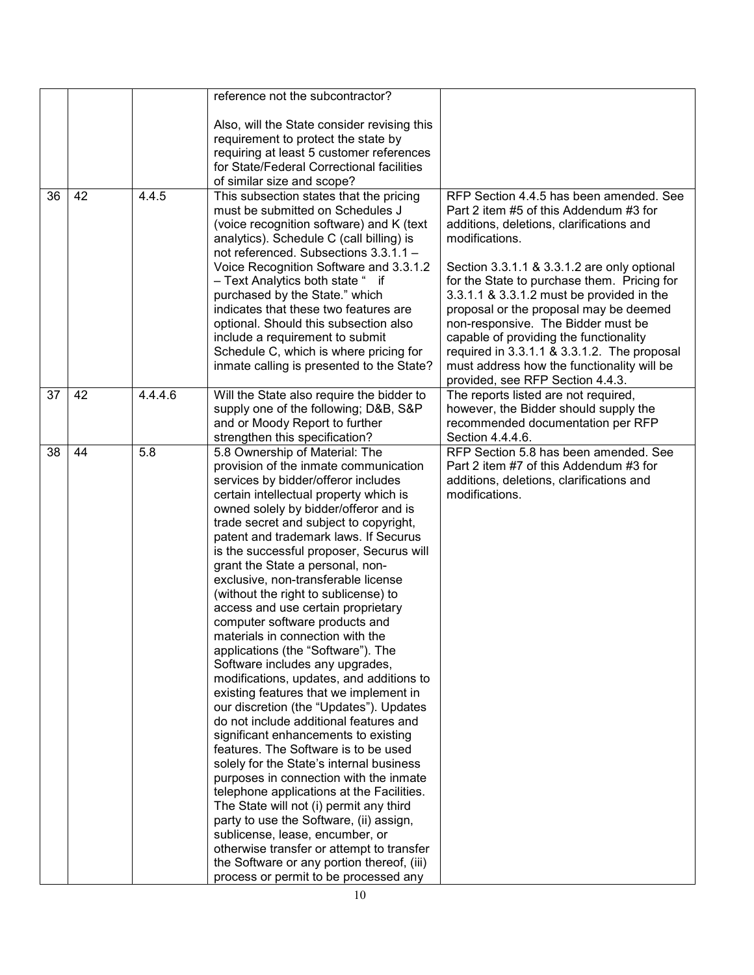|    |    |         | reference not the subcontractor?                                             |                                                                                          |
|----|----|---------|------------------------------------------------------------------------------|------------------------------------------------------------------------------------------|
|    |    |         | Also, will the State consider revising this                                  |                                                                                          |
|    |    |         | requirement to protect the state by                                          |                                                                                          |
|    |    |         | requiring at least 5 customer references                                     |                                                                                          |
|    |    |         | for State/Federal Correctional facilities                                    |                                                                                          |
|    |    |         | of similar size and scope?                                                   |                                                                                          |
| 36 | 42 | 4.4.5   | This subsection states that the pricing                                      | RFP Section 4.4.5 has been amended. See                                                  |
|    |    |         | must be submitted on Schedules J                                             | Part 2 item #5 of this Addendum #3 for                                                   |
|    |    |         | (voice recognition software) and K (text                                     | additions, deletions, clarifications and                                                 |
|    |    |         | analytics). Schedule C (call billing) is                                     | modifications.                                                                           |
|    |    |         | not referenced. Subsections 3.3.1.1 -                                        |                                                                                          |
|    |    |         | Voice Recognition Software and 3.3.1.2                                       | Section 3.3.1.1 & 3.3.1.2 are only optional                                              |
|    |    |         | - Text Analytics both state " if<br>purchased by the State." which           | for the State to purchase them. Pricing for<br>3.3.1.1 & 3.3.1.2 must be provided in the |
|    |    |         | indicates that these two features are                                        | proposal or the proposal may be deemed                                                   |
|    |    |         | optional. Should this subsection also                                        | non-responsive. The Bidder must be                                                       |
|    |    |         | include a requirement to submit                                              | capable of providing the functionality                                                   |
|    |    |         | Schedule C, which is where pricing for                                       | required in 3.3.1.1 & 3.3.1.2. The proposal                                              |
|    |    |         | inmate calling is presented to the State?                                    | must address how the functionality will be                                               |
|    |    |         |                                                                              | provided, see RFP Section 4.4.3.                                                         |
| 37 | 42 | 4.4.4.6 | Will the State also require the bidder to                                    | The reports listed are not required,                                                     |
|    |    |         | supply one of the following; D&B, S&P                                        | however, the Bidder should supply the                                                    |
|    |    |         | and or Moody Report to further                                               | recommended documentation per RFP                                                        |
| 38 | 44 | 5.8     | strengthen this specification?<br>5.8 Ownership of Material: The             | Section 4.4.4.6.<br>RFP Section 5.8 has been amended. See                                |
|    |    |         | provision of the inmate communication                                        | Part 2 item #7 of this Addendum #3 for                                                   |
|    |    |         | services by bidder/offeror includes                                          | additions, deletions, clarifications and                                                 |
|    |    |         | certain intellectual property which is                                       | modifications.                                                                           |
|    |    |         | owned solely by bidder/offeror and is                                        |                                                                                          |
|    |    |         | trade secret and subject to copyright,                                       |                                                                                          |
|    |    |         | patent and trademark laws. If Securus                                        |                                                                                          |
|    |    |         | is the successful proposer, Securus will                                     |                                                                                          |
|    |    |         | grant the State a personal, non-                                             |                                                                                          |
|    |    |         | exclusive, non-transferable license                                          |                                                                                          |
|    |    |         | (without the right to sublicense) to<br>access and use certain proprietary   |                                                                                          |
|    |    |         | computer software products and                                               |                                                                                          |
|    |    |         | materials in connection with the                                             |                                                                                          |
|    |    |         | applications (the "Software"). The                                           |                                                                                          |
|    |    |         | Software includes any upgrades,                                              |                                                                                          |
|    |    |         | modifications, updates, and additions to                                     |                                                                                          |
|    |    |         | existing features that we implement in                                       |                                                                                          |
|    |    |         | our discretion (the "Updates"). Updates                                      |                                                                                          |
|    |    |         | do not include additional features and                                       |                                                                                          |
|    |    |         | significant enhancements to existing<br>features. The Software is to be used |                                                                                          |
|    |    |         | solely for the State's internal business                                     |                                                                                          |
|    |    |         | purposes in connection with the inmate                                       |                                                                                          |
|    |    |         | telephone applications at the Facilities.                                    |                                                                                          |
|    |    |         | The State will not (i) permit any third                                      |                                                                                          |
|    |    |         | party to use the Software, (ii) assign,                                      |                                                                                          |
|    |    |         | sublicense, lease, encumber, or                                              |                                                                                          |
|    |    |         | otherwise transfer or attempt to transfer                                    |                                                                                          |
|    |    |         | the Software or any portion thereof, (iii)                                   |                                                                                          |
|    |    |         | process or permit to be processed any                                        |                                                                                          |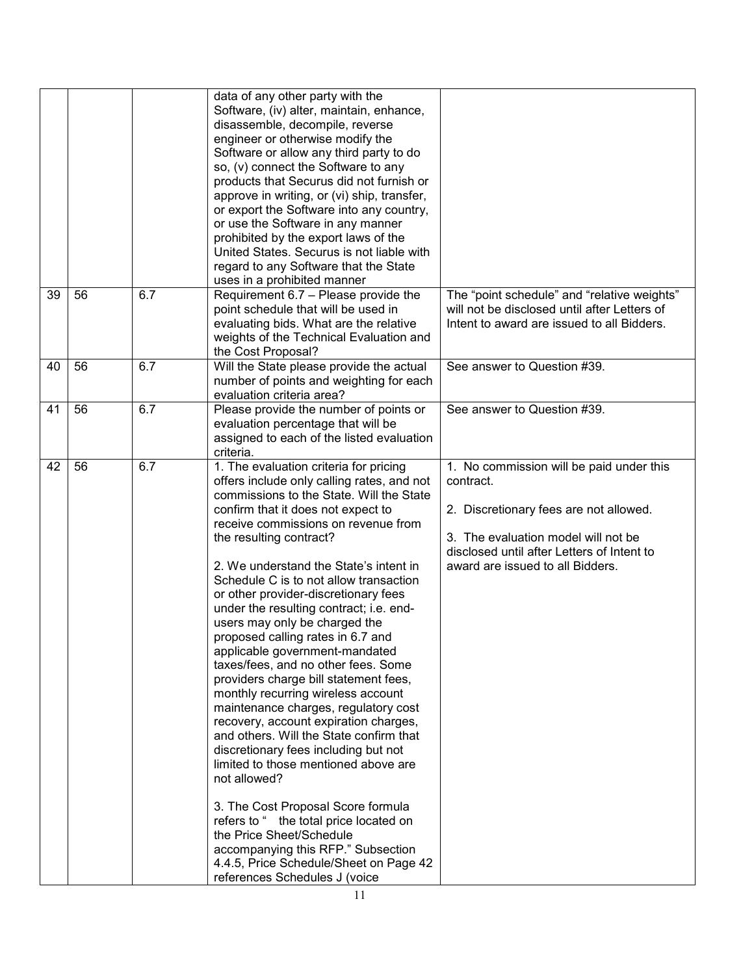|    |    |     | data of any other party with the<br>Software, (iv) alter, maintain, enhance,<br>disassemble, decompile, reverse<br>engineer or otherwise modify the<br>Software or allow any third party to do<br>so, (v) connect the Software to any<br>products that Securus did not furnish or<br>approve in writing, or (vi) ship, transfer,<br>or export the Software into any country,<br>or use the Software in any manner<br>prohibited by the export laws of the<br>United States. Securus is not liable with<br>regard to any Software that the State<br>uses in a prohibited manner                                                                                                                                                                                                                                                                                                                                                                                                                                                                                                                         |                                                                                                                                                                                                                          |
|----|----|-----|--------------------------------------------------------------------------------------------------------------------------------------------------------------------------------------------------------------------------------------------------------------------------------------------------------------------------------------------------------------------------------------------------------------------------------------------------------------------------------------------------------------------------------------------------------------------------------------------------------------------------------------------------------------------------------------------------------------------------------------------------------------------------------------------------------------------------------------------------------------------------------------------------------------------------------------------------------------------------------------------------------------------------------------------------------------------------------------------------------|--------------------------------------------------------------------------------------------------------------------------------------------------------------------------------------------------------------------------|
| 39 | 56 | 6.7 | Requirement 6.7 - Please provide the<br>point schedule that will be used in<br>evaluating bids. What are the relative<br>weights of the Technical Evaluation and<br>the Cost Proposal?                                                                                                                                                                                                                                                                                                                                                                                                                                                                                                                                                                                                                                                                                                                                                                                                                                                                                                                 | The "point schedule" and "relative weights"<br>will not be disclosed until after Letters of<br>Intent to award are issued to all Bidders.                                                                                |
| 40 | 56 | 6.7 | Will the State please provide the actual<br>number of points and weighting for each<br>evaluation criteria area?                                                                                                                                                                                                                                                                                                                                                                                                                                                                                                                                                                                                                                                                                                                                                                                                                                                                                                                                                                                       | See answer to Question #39.                                                                                                                                                                                              |
| 41 | 56 | 6.7 | Please provide the number of points or<br>evaluation percentage that will be<br>assigned to each of the listed evaluation<br>criteria.                                                                                                                                                                                                                                                                                                                                                                                                                                                                                                                                                                                                                                                                                                                                                                                                                                                                                                                                                                 | See answer to Question #39.                                                                                                                                                                                              |
| 42 | 56 | 6.7 | 1. The evaluation criteria for pricing<br>offers include only calling rates, and not<br>commissions to the State. Will the State<br>confirm that it does not expect to<br>receive commissions on revenue from<br>the resulting contract?<br>2. We understand the State's intent in<br>Schedule C is to not allow transaction<br>or other provider-discretionary fees<br>under the resulting contract; i.e. end-<br>users may only be charged the<br>proposed calling rates in 6.7 and<br>applicable government-mandated<br>taxes/fees, and no other fees. Some<br>providers charge bill statement fees,<br>monthly recurring wireless account<br>maintenance charges, regulatory cost<br>recovery, account expiration charges,<br>and others. Will the State confirm that<br>discretionary fees including but not<br>limited to those mentioned above are<br>not allowed?<br>3. The Cost Proposal Score formula<br>refers to " the total price located on<br>the Price Sheet/Schedule<br>accompanying this RFP." Subsection<br>4.4.5, Price Schedule/Sheet on Page 42<br>references Schedules J (voice | 1. No commission will be paid under this<br>contract.<br>2. Discretionary fees are not allowed.<br>3. The evaluation model will not be<br>disclosed until after Letters of Intent to<br>award are issued to all Bidders. |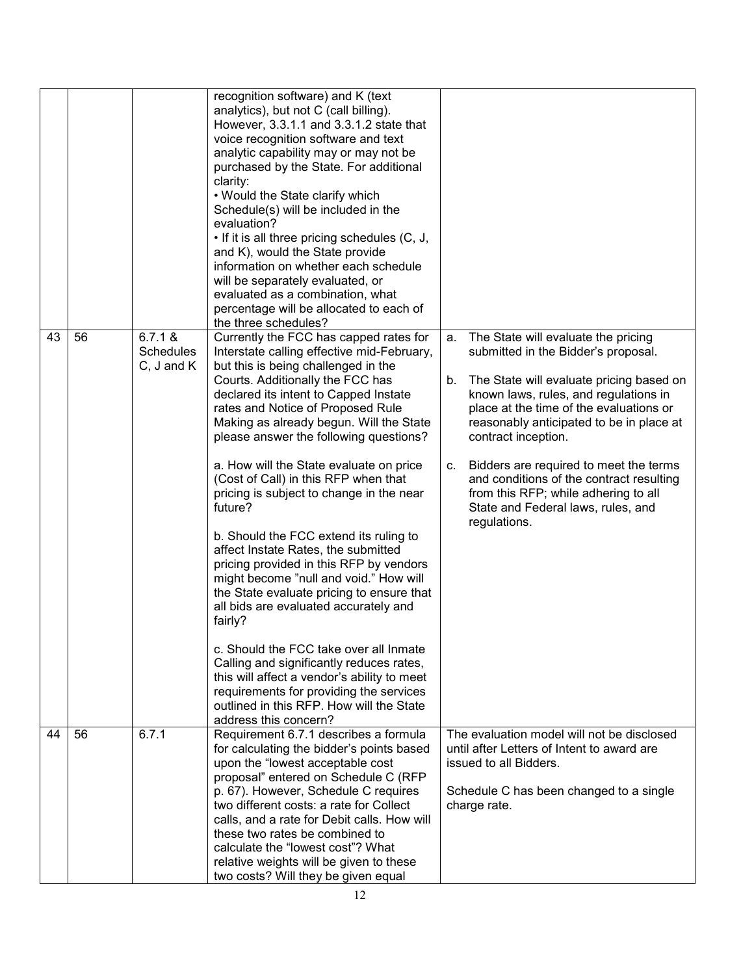|    |    |                                               | recognition software) and K (text<br>analytics), but not C (call billing).<br>However, 3.3.1.1 and 3.3.1.2 state that<br>voice recognition software and text<br>analytic capability may or may not be<br>purchased by the State. For additional<br>clarity:<br>. Would the State clarify which<br>Schedule(s) will be included in the<br>evaluation?<br>• If it is all three pricing schedules (C, J,<br>and K), would the State provide<br>information on whether each schedule<br>will be separately evaluated, or<br>evaluated as a combination, what<br>percentage will be allocated to each of<br>the three schedules? |    |                                                                                                                                                                                                 |
|----|----|-----------------------------------------------|-----------------------------------------------------------------------------------------------------------------------------------------------------------------------------------------------------------------------------------------------------------------------------------------------------------------------------------------------------------------------------------------------------------------------------------------------------------------------------------------------------------------------------------------------------------------------------------------------------------------------------|----|-------------------------------------------------------------------------------------------------------------------------------------------------------------------------------------------------|
| 43 | 56 | 6.7.1 &<br><b>Schedules</b><br>$C, J$ and $K$ | Currently the FCC has capped rates for<br>Interstate calling effective mid-February,<br>but this is being challenged in the                                                                                                                                                                                                                                                                                                                                                                                                                                                                                                 | a. | The State will evaluate the pricing<br>submitted in the Bidder's proposal.                                                                                                                      |
|    |    |                                               | Courts. Additionally the FCC has<br>declared its intent to Capped Instate<br>rates and Notice of Proposed Rule<br>Making as already begun. Will the State<br>please answer the following questions?                                                                                                                                                                                                                                                                                                                                                                                                                         | b. | The State will evaluate pricing based on<br>known laws, rules, and regulations in<br>place at the time of the evaluations or<br>reasonably anticipated to be in place at<br>contract inception. |
|    |    |                                               | a. How will the State evaluate on price<br>(Cost of Call) in this RFP when that<br>pricing is subject to change in the near<br>future?                                                                                                                                                                                                                                                                                                                                                                                                                                                                                      | C. | Bidders are required to meet the terms<br>and conditions of the contract resulting<br>from this RFP; while adhering to all<br>State and Federal laws, rules, and<br>regulations.                |
|    |    |                                               | b. Should the FCC extend its ruling to<br>affect Instate Rates, the submitted<br>pricing provided in this RFP by vendors<br>might become "null and void." How will<br>the State evaluate pricing to ensure that<br>all bids are evaluated accurately and<br>fairly?                                                                                                                                                                                                                                                                                                                                                         |    |                                                                                                                                                                                                 |
|    |    |                                               | c. Should the FCC take over all Inmate<br>Calling and significantly reduces rates,<br>this will affect a vendor's ability to meet<br>requirements for providing the services<br>outlined in this RFP. How will the State<br>address this concern?                                                                                                                                                                                                                                                                                                                                                                           |    |                                                                                                                                                                                                 |
| 44 | 56 | 6.7.1                                         | Requirement 6.7.1 describes a formula<br>for calculating the bidder's points based<br>upon the "lowest acceptable cost<br>proposal" entered on Schedule C (RFP                                                                                                                                                                                                                                                                                                                                                                                                                                                              |    | The evaluation model will not be disclosed<br>until after Letters of Intent to award are<br>issued to all Bidders.                                                                              |
|    |    |                                               | p. 67). However, Schedule C requires<br>two different costs: a rate for Collect<br>calls, and a rate for Debit calls. How will<br>these two rates be combined to<br>calculate the "lowest cost"? What<br>relative weights will be given to these<br>two costs? Will they be given equal                                                                                                                                                                                                                                                                                                                                     |    | Schedule C has been changed to a single<br>charge rate.                                                                                                                                         |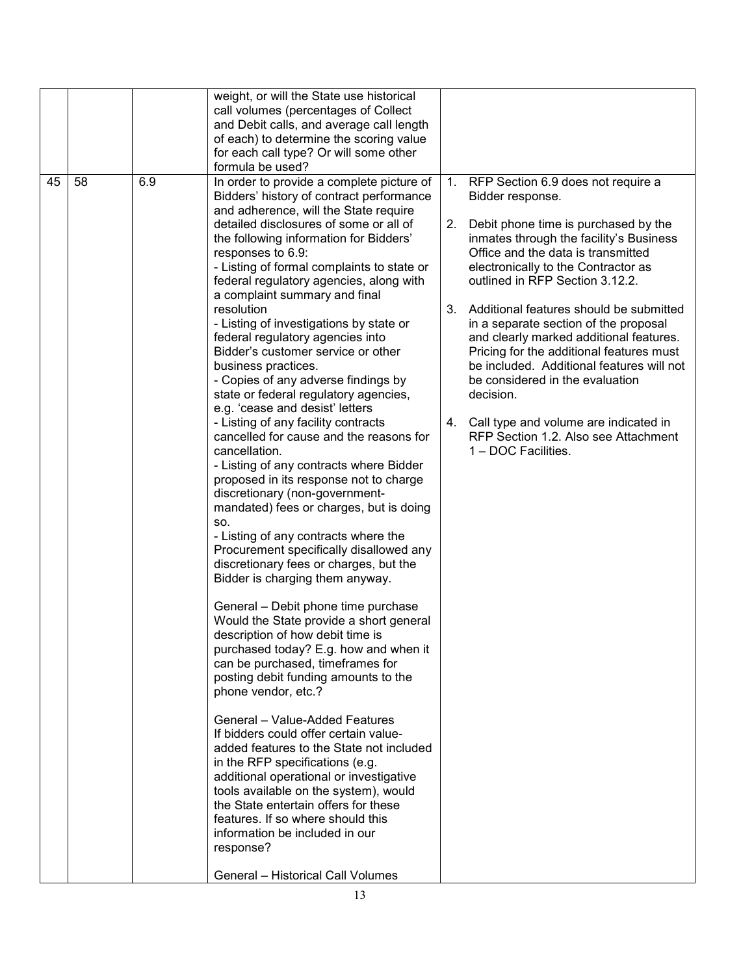|    |    |     | weight, or will the State use historical<br>call volumes (percentages of Collect<br>and Debit calls, and average call length<br>of each) to determine the scoring value<br>for each call type? Or will some other<br>formula be used?                                                                                                                                                                                                                                                                                                                                                                                                                                                                                                                                                                                                                                                                                                                                                                                                                                                                                                                                                                                                                                                                                                                                                                                                                                                                                                                                                                                                                                                                                                                                              |          |                                                                                                                                                                                                                                                                                                                                                                                                                                                                                                                                                                                                                                                 |
|----|----|-----|------------------------------------------------------------------------------------------------------------------------------------------------------------------------------------------------------------------------------------------------------------------------------------------------------------------------------------------------------------------------------------------------------------------------------------------------------------------------------------------------------------------------------------------------------------------------------------------------------------------------------------------------------------------------------------------------------------------------------------------------------------------------------------------------------------------------------------------------------------------------------------------------------------------------------------------------------------------------------------------------------------------------------------------------------------------------------------------------------------------------------------------------------------------------------------------------------------------------------------------------------------------------------------------------------------------------------------------------------------------------------------------------------------------------------------------------------------------------------------------------------------------------------------------------------------------------------------------------------------------------------------------------------------------------------------------------------------------------------------------------------------------------------------|----------|-------------------------------------------------------------------------------------------------------------------------------------------------------------------------------------------------------------------------------------------------------------------------------------------------------------------------------------------------------------------------------------------------------------------------------------------------------------------------------------------------------------------------------------------------------------------------------------------------------------------------------------------------|
| 45 | 58 | 6.9 | In order to provide a complete picture of<br>Bidders' history of contract performance<br>and adherence, will the State require<br>detailed disclosures of some or all of<br>the following information for Bidders'<br>responses to 6.9:<br>- Listing of formal complaints to state or<br>federal regulatory agencies, along with<br>a complaint summary and final<br>resolution<br>- Listing of investigations by state or<br>federal regulatory agencies into<br>Bidder's customer service or other<br>business practices.<br>- Copies of any adverse findings by<br>state or federal regulatory agencies,<br>e.g. 'cease and desist' letters<br>- Listing of any facility contracts<br>cancelled for cause and the reasons for<br>cancellation.<br>- Listing of any contracts where Bidder<br>proposed in its response not to charge<br>discretionary (non-government-<br>mandated) fees or charges, but is doing<br>SO.<br>- Listing of any contracts where the<br>Procurement specifically disallowed any<br>discretionary fees or charges, but the<br>Bidder is charging them anyway.<br>General - Debit phone time purchase<br>Would the State provide a short general<br>description of how debit time is<br>purchased today? E.g. how and when it<br>can be purchased, timeframes for<br>posting debit funding amounts to the<br>phone vendor, etc.?<br>General - Value-Added Features<br>If bidders could offer certain value-<br>added features to the State not included<br>in the RFP specifications (e.g.<br>additional operational or investigative<br>tools available on the system), would<br>the State entertain offers for these<br>features. If so where should this<br>information be included in our<br>response?<br><b>General - Historical Call Volumes</b> | 1.<br>2. | RFP Section 6.9 does not require a<br>Bidder response.<br>Debit phone time is purchased by the<br>inmates through the facility's Business<br>Office and the data is transmitted<br>electronically to the Contractor as<br>outlined in RFP Section 3.12.2.<br>3. Additional features should be submitted<br>in a separate section of the proposal<br>and clearly marked additional features.<br>Pricing for the additional features must<br>be included. Additional features will not<br>be considered in the evaluation<br>decision.<br>4. Call type and volume are indicated in<br>RFP Section 1.2. Also see Attachment<br>1 – DOC Facilities. |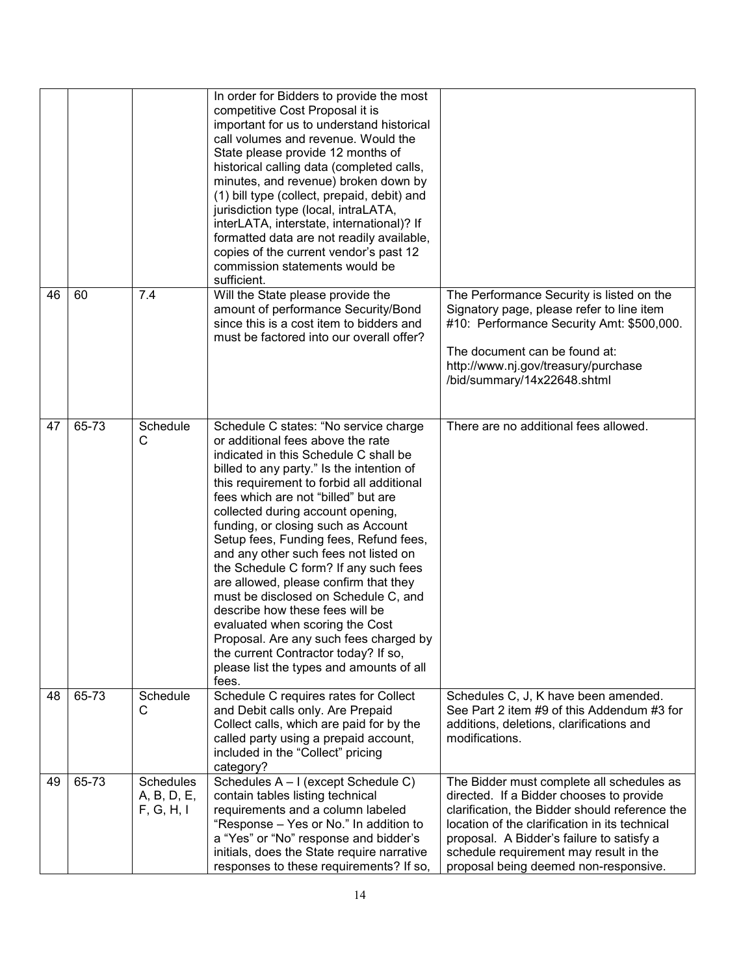|    |       |                                               | In order for Bidders to provide the most<br>competitive Cost Proposal it is<br>important for us to understand historical<br>call volumes and revenue. Would the<br>State please provide 12 months of<br>historical calling data (completed calls,<br>minutes, and revenue) broken down by<br>(1) bill type (collect, prepaid, debit) and<br>jurisdiction type (local, intraLATA,<br>interLATA, interstate, international)? If<br>formatted data are not readily available,<br>copies of the current vendor's past 12<br>commission statements would be<br>sufficient.                                                                                                                                                                                      |                                                                                                                                                                                                                                                                                                                           |
|----|-------|-----------------------------------------------|------------------------------------------------------------------------------------------------------------------------------------------------------------------------------------------------------------------------------------------------------------------------------------------------------------------------------------------------------------------------------------------------------------------------------------------------------------------------------------------------------------------------------------------------------------------------------------------------------------------------------------------------------------------------------------------------------------------------------------------------------------|---------------------------------------------------------------------------------------------------------------------------------------------------------------------------------------------------------------------------------------------------------------------------------------------------------------------------|
| 46 | 60    | 7.4                                           | Will the State please provide the<br>amount of performance Security/Bond<br>since this is a cost item to bidders and<br>must be factored into our overall offer?                                                                                                                                                                                                                                                                                                                                                                                                                                                                                                                                                                                           | The Performance Security is listed on the<br>Signatory page, please refer to line item<br>#10: Performance Security Amt: \$500,000.<br>The document can be found at:<br>http://www.nj.gov/treasury/purchase<br>/bid/summary/14x22648.shtml                                                                                |
| 47 | 65-73 | Schedule<br>C                                 | Schedule C states: "No service charge<br>or additional fees above the rate<br>indicated in this Schedule C shall be<br>billed to any party." Is the intention of<br>this requirement to forbid all additional<br>fees which are not "billed" but are<br>collected during account opening,<br>funding, or closing such as Account<br>Setup fees, Funding fees, Refund fees,<br>and any other such fees not listed on<br>the Schedule C form? If any such fees<br>are allowed, please confirm that they<br>must be disclosed on Schedule C, and<br>describe how these fees will be<br>evaluated when scoring the Cost<br>Proposal. Are any such fees charged by<br>the current Contractor today? If so,<br>please list the types and amounts of all<br>fees. | There are no additional fees allowed.                                                                                                                                                                                                                                                                                     |
| 48 | 65-73 | Schedule<br>C                                 | Schedule C requires rates for Collect<br>and Debit calls only. Are Prepaid<br>Collect calls, which are paid for by the<br>called party using a prepaid account,<br>included in the "Collect" pricing<br>category?                                                                                                                                                                                                                                                                                                                                                                                                                                                                                                                                          | Schedules C, J, K have been amended.<br>See Part 2 item #9 of this Addendum #3 for<br>additions, deletions, clarifications and<br>modifications.                                                                                                                                                                          |
| 49 | 65-73 | <b>Schedules</b><br>A, B, D, E,<br>F, G, H, I | Schedules A - I (except Schedule C)<br>contain tables listing technical<br>requirements and a column labeled<br>"Response - Yes or No." In addition to<br>a "Yes" or "No" response and bidder's<br>initials, does the State require narrative<br>responses to these requirements? If so,                                                                                                                                                                                                                                                                                                                                                                                                                                                                   | The Bidder must complete all schedules as<br>directed. If a Bidder chooses to provide<br>clarification, the Bidder should reference the<br>location of the clarification in its technical<br>proposal. A Bidder's failure to satisfy a<br>schedule requirement may result in the<br>proposal being deemed non-responsive. |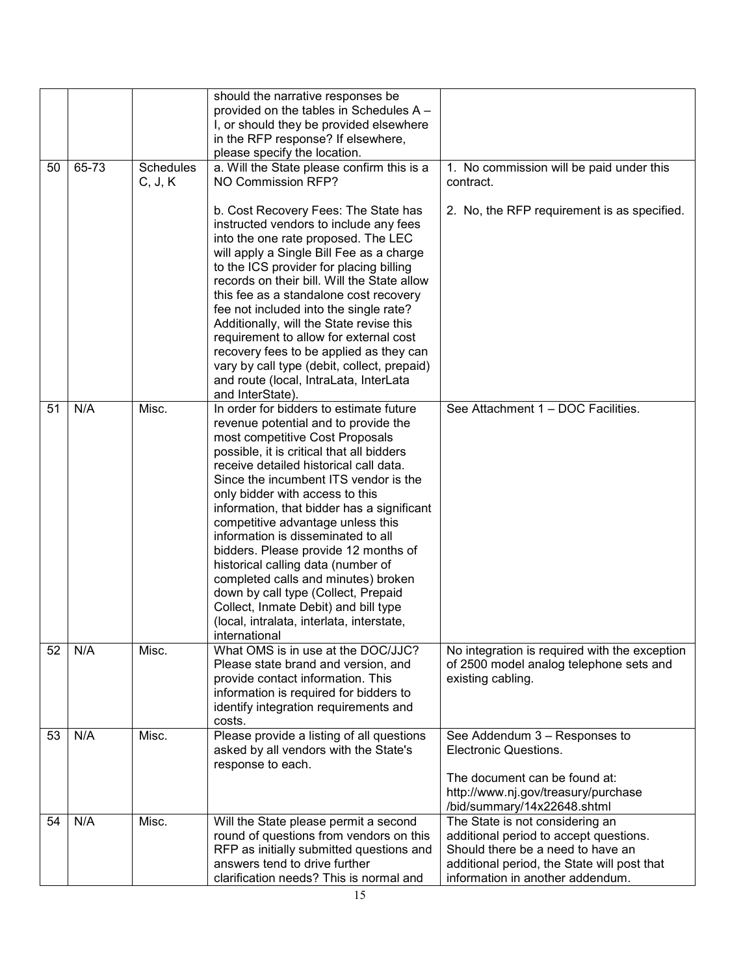|    |       |                             | should the narrative responses be<br>provided on the tables in Schedules A -<br>I, or should they be provided elsewhere<br>in the RFP response? If elsewhere,<br>please specify the location.                                                                                                                                                                                                                                                                                                                                                                                                                                                                                    |                                                                                                                                                                                                                                  |
|----|-------|-----------------------------|----------------------------------------------------------------------------------------------------------------------------------------------------------------------------------------------------------------------------------------------------------------------------------------------------------------------------------------------------------------------------------------------------------------------------------------------------------------------------------------------------------------------------------------------------------------------------------------------------------------------------------------------------------------------------------|----------------------------------------------------------------------------------------------------------------------------------------------------------------------------------------------------------------------------------|
| 50 | 65-73 | <b>Schedules</b><br>C, J, K | a. Will the State please confirm this is a<br>NO Commission RFP?                                                                                                                                                                                                                                                                                                                                                                                                                                                                                                                                                                                                                 | 1. No commission will be paid under this<br>contract.                                                                                                                                                                            |
|    |       |                             | b. Cost Recovery Fees: The State has<br>instructed vendors to include any fees<br>into the one rate proposed. The LEC<br>will apply a Single Bill Fee as a charge<br>to the ICS provider for placing billing<br>records on their bill. Will the State allow<br>this fee as a standalone cost recovery<br>fee not included into the single rate?<br>Additionally, will the State revise this<br>requirement to allow for external cost<br>recovery fees to be applied as they can<br>vary by call type (debit, collect, prepaid)<br>and route (local, IntraLata, InterLata<br>and InterState).                                                                                    | 2. No, the RFP requirement is as specified.                                                                                                                                                                                      |
| 51 | N/A   | Misc.                       | In order for bidders to estimate future<br>revenue potential and to provide the<br>most competitive Cost Proposals<br>possible, it is critical that all bidders<br>receive detailed historical call data.<br>Since the incumbent ITS vendor is the<br>only bidder with access to this<br>information, that bidder has a significant<br>competitive advantage unless this<br>information is disseminated to all<br>bidders. Please provide 12 months of<br>historical calling data (number of<br>completed calls and minutes) broken<br>down by call type (Collect, Prepaid<br>Collect, Inmate Debit) and bill type<br>(local, intralata, interlata, interstate,<br>international | See Attachment 1 - DOC Facilities.                                                                                                                                                                                               |
| 52 | N/A   | Misc.                       | What OMS is in use at the DOC/JJC?<br>Please state brand and version, and<br>provide contact information. This<br>information is required for bidders to<br>identify integration requirements and<br>costs.                                                                                                                                                                                                                                                                                                                                                                                                                                                                      | No integration is required with the exception<br>of 2500 model analog telephone sets and<br>existing cabling.                                                                                                                    |
| 53 | N/A   | Misc.                       | Please provide a listing of all questions<br>asked by all vendors with the State's<br>response to each.                                                                                                                                                                                                                                                                                                                                                                                                                                                                                                                                                                          | See Addendum 3 - Responses to<br>Electronic Questions.<br>The document can be found at:<br>http://www.nj.gov/treasury/purchase                                                                                                   |
| 54 | N/A   | Misc.                       | Will the State please permit a second<br>round of questions from vendors on this<br>RFP as initially submitted questions and<br>answers tend to drive further<br>clarification needs? This is normal and                                                                                                                                                                                                                                                                                                                                                                                                                                                                         | /bid/summary/14x22648.shtml<br>The State is not considering an<br>additional period to accept questions.<br>Should there be a need to have an<br>additional period, the State will post that<br>information in another addendum. |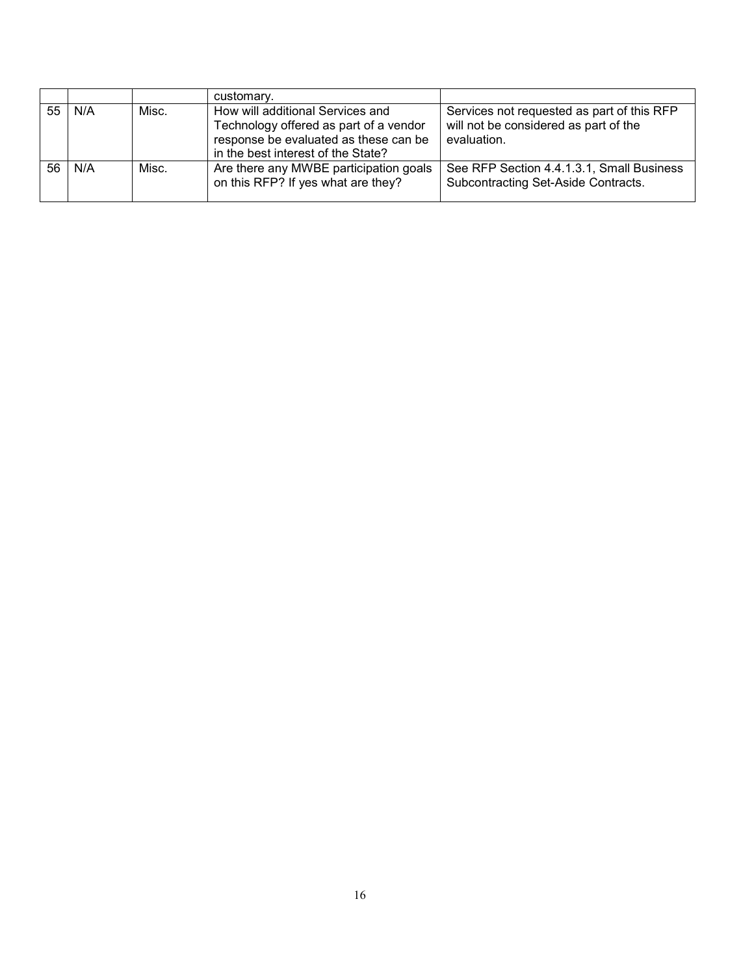|                 |            |       | customary.                                                                                                                                                |                                                                                                    |
|-----------------|------------|-------|-----------------------------------------------------------------------------------------------------------------------------------------------------------|----------------------------------------------------------------------------------------------------|
|                 | $55$   N/A | Misc. | How will additional Services and<br>Technology offered as part of a vendor<br>response be evaluated as these can be<br>in the best interest of the State? | Services not requested as part of this RFP<br>will not be considered as part of the<br>evaluation. |
| 56 <sup>1</sup> | N/A        | Misc. | Are there any MWBE participation goals<br>on this RFP? If yes what are they?                                                                              | See RFP Section 4.4.1.3.1, Small Business<br>Subcontracting Set-Aside Contracts.                   |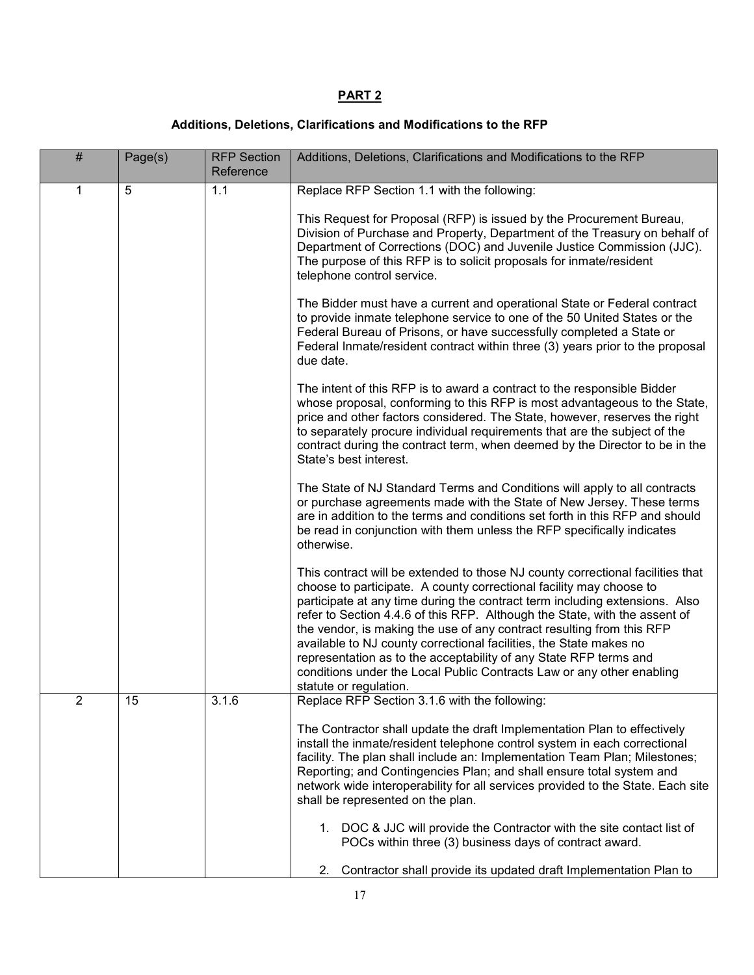# **PART 2**

## **Additions, Deletions, Clarifications and Modifications to the RFP**

| # | Page(s) | <b>RFP Section</b><br>Reference | Additions, Deletions, Clarifications and Modifications to the RFP                                                                                                                                                                                                                                                                                                                                                                                                                                                                                                                                                                         |
|---|---------|---------------------------------|-------------------------------------------------------------------------------------------------------------------------------------------------------------------------------------------------------------------------------------------------------------------------------------------------------------------------------------------------------------------------------------------------------------------------------------------------------------------------------------------------------------------------------------------------------------------------------------------------------------------------------------------|
| 1 | 5       | 1.1                             | Replace RFP Section 1.1 with the following:                                                                                                                                                                                                                                                                                                                                                                                                                                                                                                                                                                                               |
|   |         |                                 | This Request for Proposal (RFP) is issued by the Procurement Bureau,<br>Division of Purchase and Property, Department of the Treasury on behalf of<br>Department of Corrections (DOC) and Juvenile Justice Commission (JJC).<br>The purpose of this RFP is to solicit proposals for inmate/resident<br>telephone control service.                                                                                                                                                                                                                                                                                                         |
|   |         |                                 | The Bidder must have a current and operational State or Federal contract<br>to provide inmate telephone service to one of the 50 United States or the<br>Federal Bureau of Prisons, or have successfully completed a State or<br>Federal Inmate/resident contract within three (3) years prior to the proposal<br>due date.                                                                                                                                                                                                                                                                                                               |
|   |         |                                 | The intent of this RFP is to award a contract to the responsible Bidder<br>whose proposal, conforming to this RFP is most advantageous to the State,<br>price and other factors considered. The State, however, reserves the right<br>to separately procure individual requirements that are the subject of the<br>contract during the contract term, when deemed by the Director to be in the<br>State's best interest.                                                                                                                                                                                                                  |
|   |         |                                 | The State of NJ Standard Terms and Conditions will apply to all contracts<br>or purchase agreements made with the State of New Jersey. These terms<br>are in addition to the terms and conditions set forth in this RFP and should<br>be read in conjunction with them unless the RFP specifically indicates<br>otherwise.                                                                                                                                                                                                                                                                                                                |
|   |         |                                 | This contract will be extended to those NJ county correctional facilities that<br>choose to participate. A county correctional facility may choose to<br>participate at any time during the contract term including extensions. Also<br>refer to Section 4.4.6 of this RFP. Although the State, with the assent of<br>the vendor, is making the use of any contract resulting from this RFP<br>available to NJ county correctional facilities, the State makes no<br>representation as to the acceptability of any State RFP terms and<br>conditions under the Local Public Contracts Law or any other enabling<br>statute or regulation. |
| 2 | 15      | 3.1.6                           | Replace RFP Section 3.1.6 with the following:                                                                                                                                                                                                                                                                                                                                                                                                                                                                                                                                                                                             |
|   |         |                                 | The Contractor shall update the draft Implementation Plan to effectively<br>install the inmate/resident telephone control system in each correctional<br>facility. The plan shall include an: Implementation Team Plan; Milestones;<br>Reporting; and Contingencies Plan; and shall ensure total system and<br>network wide interoperability for all services provided to the State. Each site<br>shall be represented on the plan.<br>1. DOC & JJC will provide the Contractor with the site contact list of<br>POCs within three (3) business days of contract award.                                                                   |
|   |         |                                 | Contractor shall provide its updated draft Implementation Plan to<br>2.                                                                                                                                                                                                                                                                                                                                                                                                                                                                                                                                                                   |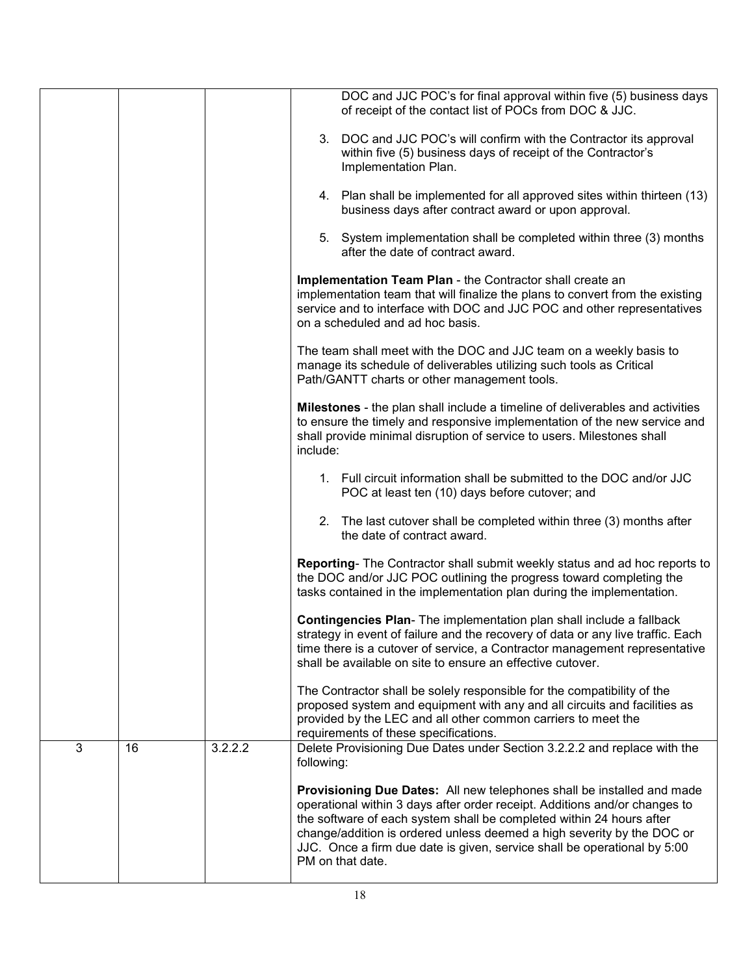|   |    |         | DOC and JJC POC's for final approval within five (5) business days<br>of receipt of the contact list of POCs from DOC & JJC.                                                                                                                                                                                                                                                                           |
|---|----|---------|--------------------------------------------------------------------------------------------------------------------------------------------------------------------------------------------------------------------------------------------------------------------------------------------------------------------------------------------------------------------------------------------------------|
|   |    |         | 3. DOC and JJC POC's will confirm with the Contractor its approval<br>within five (5) business days of receipt of the Contractor's<br>Implementation Plan.                                                                                                                                                                                                                                             |
|   |    |         | 4. Plan shall be implemented for all approved sites within thirteen (13)<br>business days after contract award or upon approval.                                                                                                                                                                                                                                                                       |
|   |    |         | 5. System implementation shall be completed within three (3) months<br>after the date of contract award.                                                                                                                                                                                                                                                                                               |
|   |    |         | Implementation Team Plan - the Contractor shall create an<br>implementation team that will finalize the plans to convert from the existing<br>service and to interface with DOC and JJC POC and other representatives<br>on a scheduled and ad hoc basis.                                                                                                                                              |
|   |    |         | The team shall meet with the DOC and JJC team on a weekly basis to<br>manage its schedule of deliverables utilizing such tools as Critical<br>Path/GANTT charts or other management tools.                                                                                                                                                                                                             |
|   |    |         | <b>Milestones</b> - the plan shall include a timeline of deliverables and activities<br>to ensure the timely and responsive implementation of the new service and<br>shall provide minimal disruption of service to users. Milestones shall<br>include:                                                                                                                                                |
|   |    |         | 1. Full circuit information shall be submitted to the DOC and/or JJC<br>POC at least ten (10) days before cutover; and                                                                                                                                                                                                                                                                                 |
|   |    |         | 2. The last cutover shall be completed within three (3) months after<br>the date of contract award.                                                                                                                                                                                                                                                                                                    |
|   |    |         | Reporting- The Contractor shall submit weekly status and ad hoc reports to<br>the DOC and/or JJC POC outlining the progress toward completing the<br>tasks contained in the implementation plan during the implementation.                                                                                                                                                                             |
|   |    |         | Contingencies Plan- The implementation plan shall include a fallback<br>strategy in event of failure and the recovery of data or any live traffic. Each<br>time there is a cutover of service, a Contractor management representative<br>shall be available on site to ensure an effective cutover.                                                                                                    |
|   |    |         | The Contractor shall be solely responsible for the compatibility of the<br>proposed system and equipment with any and all circuits and facilities as<br>provided by the LEC and all other common carriers to meet the<br>requirements of these specifications.                                                                                                                                         |
| 3 | 16 | 3.2.2.2 | Delete Provisioning Due Dates under Section 3.2.2.2 and replace with the<br>following:                                                                                                                                                                                                                                                                                                                 |
|   |    |         | Provisioning Due Dates: All new telephones shall be installed and made<br>operational within 3 days after order receipt. Additions and/or changes to<br>the software of each system shall be completed within 24 hours after<br>change/addition is ordered unless deemed a high severity by the DOC or<br>JJC. Once a firm due date is given, service shall be operational by 5:00<br>PM on that date. |
|   |    |         |                                                                                                                                                                                                                                                                                                                                                                                                        |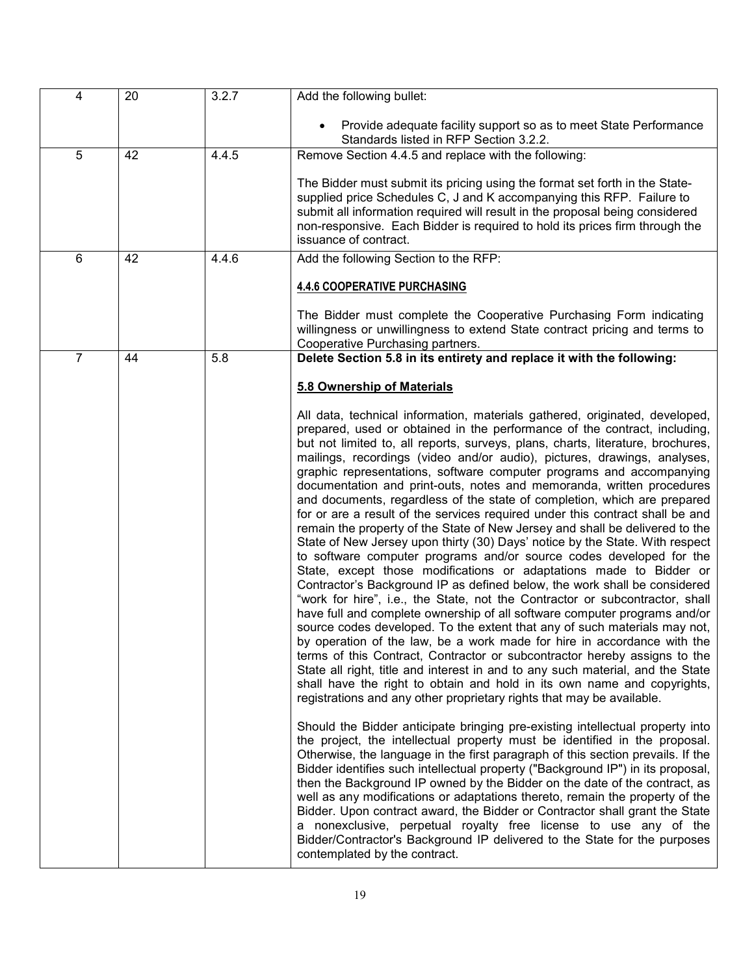| $\overline{4}$ | 20 | 3.2.7 | Add the following bullet:                                                                                                                                                                                                                                                                                                                                                                                                                                                                                                                                                                                                                                                                                                                                                                                                                                                                                                                                                                                                                                                                                                                                                                                                                                                                                                                                                                                                                                                             |
|----------------|----|-------|---------------------------------------------------------------------------------------------------------------------------------------------------------------------------------------------------------------------------------------------------------------------------------------------------------------------------------------------------------------------------------------------------------------------------------------------------------------------------------------------------------------------------------------------------------------------------------------------------------------------------------------------------------------------------------------------------------------------------------------------------------------------------------------------------------------------------------------------------------------------------------------------------------------------------------------------------------------------------------------------------------------------------------------------------------------------------------------------------------------------------------------------------------------------------------------------------------------------------------------------------------------------------------------------------------------------------------------------------------------------------------------------------------------------------------------------------------------------------------------|
|                |    |       | Provide adequate facility support so as to meet State Performance<br>Standards listed in RFP Section 3.2.2.                                                                                                                                                                                                                                                                                                                                                                                                                                                                                                                                                                                                                                                                                                                                                                                                                                                                                                                                                                                                                                                                                                                                                                                                                                                                                                                                                                           |
| 5              | 42 | 4.4.5 | Remove Section 4.4.5 and replace with the following:                                                                                                                                                                                                                                                                                                                                                                                                                                                                                                                                                                                                                                                                                                                                                                                                                                                                                                                                                                                                                                                                                                                                                                                                                                                                                                                                                                                                                                  |
|                |    |       | The Bidder must submit its pricing using the format set forth in the State-<br>supplied price Schedules C, J and K accompanying this RFP. Failure to<br>submit all information required will result in the proposal being considered<br>non-responsive. Each Bidder is required to hold its prices firm through the<br>issuance of contract.                                                                                                                                                                                                                                                                                                                                                                                                                                                                                                                                                                                                                                                                                                                                                                                                                                                                                                                                                                                                                                                                                                                                          |
| 6              | 42 | 4.4.6 | Add the following Section to the RFP:                                                                                                                                                                                                                                                                                                                                                                                                                                                                                                                                                                                                                                                                                                                                                                                                                                                                                                                                                                                                                                                                                                                                                                                                                                                                                                                                                                                                                                                 |
|                |    |       | <b>4.4.6 COOPERATIVE PURCHASING</b><br>The Bidder must complete the Cooperative Purchasing Form indicating<br>willingness or unwillingness to extend State contract pricing and terms to<br>Cooperative Purchasing partners.                                                                                                                                                                                                                                                                                                                                                                                                                                                                                                                                                                                                                                                                                                                                                                                                                                                                                                                                                                                                                                                                                                                                                                                                                                                          |
| $\overline{7}$ | 44 | 5.8   | Delete Section 5.8 in its entirety and replace it with the following:                                                                                                                                                                                                                                                                                                                                                                                                                                                                                                                                                                                                                                                                                                                                                                                                                                                                                                                                                                                                                                                                                                                                                                                                                                                                                                                                                                                                                 |
|                |    |       | 5.8 Ownership of Materials<br>All data, technical information, materials gathered, originated, developed,<br>prepared, used or obtained in the performance of the contract, including,<br>but not limited to, all reports, surveys, plans, charts, literature, brochures,<br>mailings, recordings (video and/or audio), pictures, drawings, analyses,<br>graphic representations, software computer programs and accompanying<br>documentation and print-outs, notes and memoranda, written procedures<br>and documents, regardless of the state of completion, which are prepared<br>for or are a result of the services required under this contract shall be and<br>remain the property of the State of New Jersey and shall be delivered to the<br>State of New Jersey upon thirty (30) Days' notice by the State. With respect<br>to software computer programs and/or source codes developed for the<br>State, except those modifications or adaptations made to Bidder or                                                                                                                                                                                                                                                                                                                                                                                                                                                                                                      |
|                |    |       | Contractor's Background IP as defined below, the work shall be considered<br>"work for hire", i.e., the State, not the Contractor or subcontractor, shall<br>have full and complete ownership of all software computer programs and/or<br>source codes developed. To the extent that any of such materials may not,<br>by operation of the law, be a work made for hire in accordance with the<br>terms of this Contract, Contractor or subcontractor hereby assigns to the<br>State all right, title and interest in and to any such material, and the State<br>shall have the right to obtain and hold in its own name and copyrights,<br>registrations and any other proprietary rights that may be available.<br>Should the Bidder anticipate bringing pre-existing intellectual property into<br>the project, the intellectual property must be identified in the proposal.<br>Otherwise, the language in the first paragraph of this section prevails. If the<br>Bidder identifies such intellectual property ("Background IP") in its proposal,<br>then the Background IP owned by the Bidder on the date of the contract, as<br>well as any modifications or adaptations thereto, remain the property of the<br>Bidder. Upon contract award, the Bidder or Contractor shall grant the State<br>a nonexclusive, perpetual royalty free license to use any of the<br>Bidder/Contractor's Background IP delivered to the State for the purposes<br>contemplated by the contract. |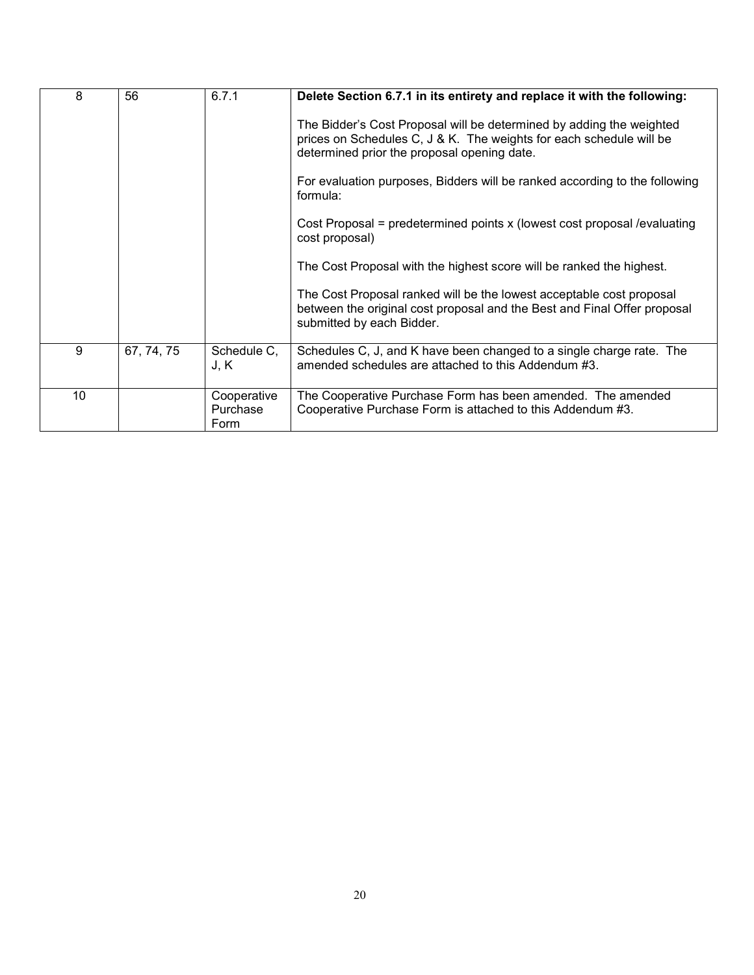| 8  | 56         | 6.7.1                           | Delete Section 6.7.1 in its entirety and replace it with the following:                                                                                                                    |
|----|------------|---------------------------------|--------------------------------------------------------------------------------------------------------------------------------------------------------------------------------------------|
|    |            |                                 | The Bidder's Cost Proposal will be determined by adding the weighted<br>prices on Schedules C, J & K. The weights for each schedule will be<br>determined prior the proposal opening date. |
|    |            |                                 | For evaluation purposes, Bidders will be ranked according to the following<br>formula:                                                                                                     |
|    |            |                                 | Cost Proposal = predetermined points x (lowest cost proposal /evaluating<br>cost proposal)                                                                                                 |
|    |            |                                 | The Cost Proposal with the highest score will be ranked the highest.                                                                                                                       |
|    |            |                                 | The Cost Proposal ranked will be the lowest acceptable cost proposal<br>between the original cost proposal and the Best and Final Offer proposal<br>submitted by each Bidder.              |
| 9  | 67, 74, 75 | Schedule C,<br>J, K             | Schedules C, J, and K have been changed to a single charge rate. The<br>amended schedules are attached to this Addendum #3.                                                                |
| 10 |            | Cooperative<br>Purchase<br>Form | The Cooperative Purchase Form has been amended. The amended<br>Cooperative Purchase Form is attached to this Addendum #3.                                                                  |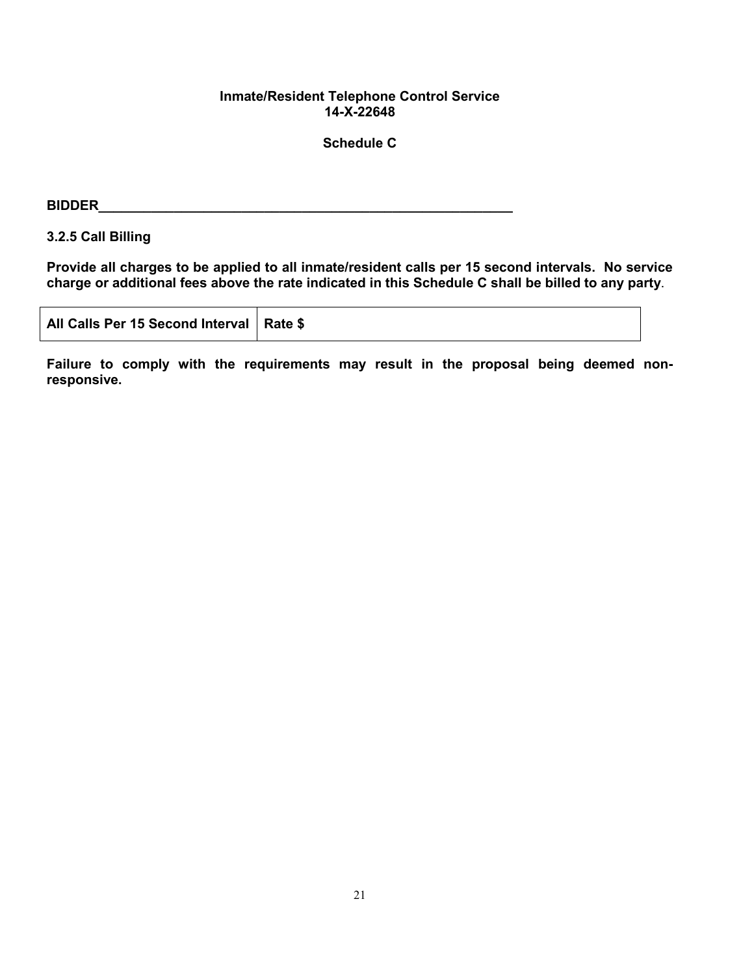## **Inmate/Resident Telephone Control Service 14-X-22648**

## **Schedule C**

#### **BIDDER**

## **3.2.5 Call Billing**

**Provide all charges to be applied to all inmate/resident calls per 15 second intervals. No service charge or additional fees above the rate indicated in this Schedule C shall be billed to any party**.

| All Calls Per 15 Second Interval   Rate \$ |  |  |
|--------------------------------------------|--|--|
|--------------------------------------------|--|--|

**Failure to comply with the requirements may result in the proposal being deemed nonresponsive.**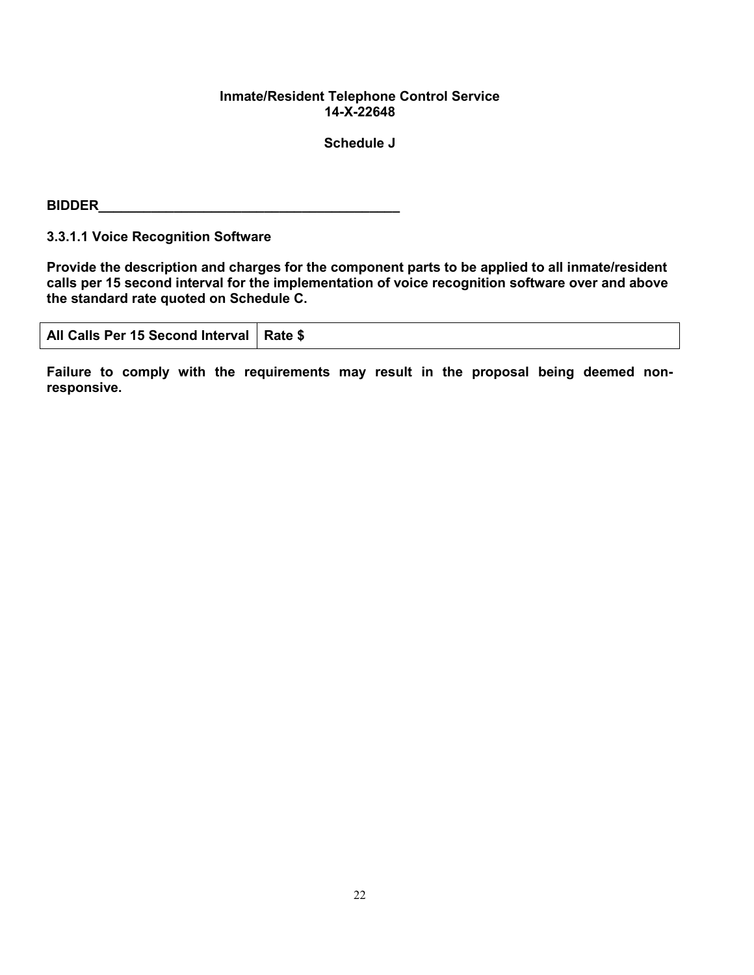### **Inmate/Resident Telephone Control Service 14-X-22648**

**Schedule J**

**BIDDER** 

**3.3.1.1 Voice Recognition Software**

**Provide the description and charges for the component parts to be applied to all inmate/resident calls per 15 second interval for the implementation of voice recognition software over and above the standard rate quoted on Schedule C.**

| All Calls Per 15 Second Interval   Rate \$ |
|--------------------------------------------|
|                                            |

**Failure to comply with the requirements may result in the proposal being deemed nonresponsive.**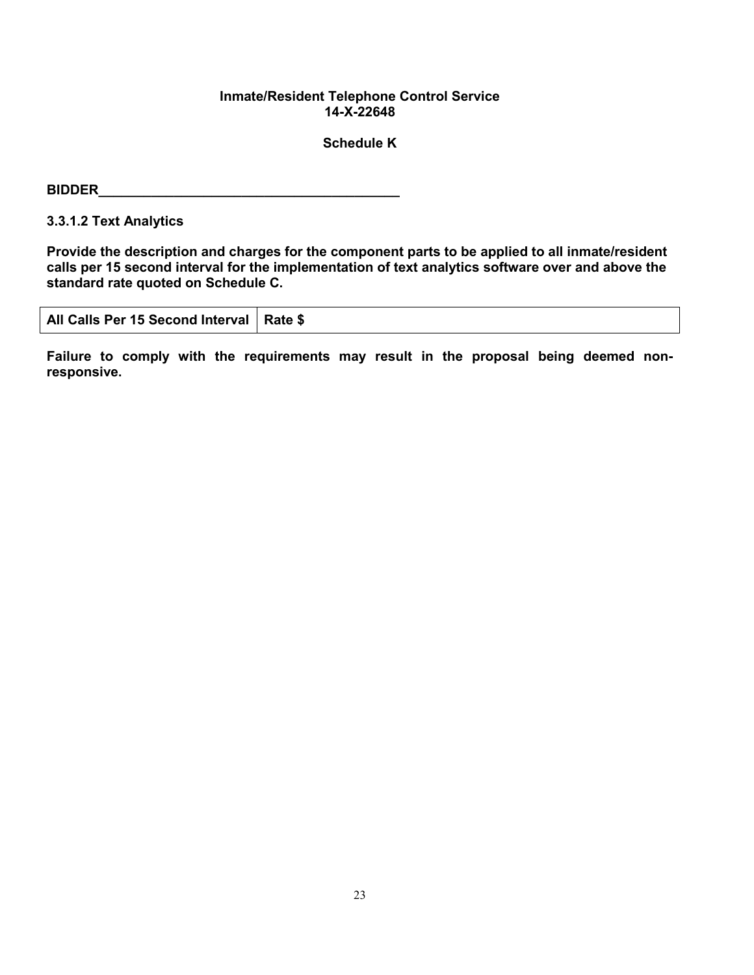### **Inmate/Resident Telephone Control Service 14-X-22648**

## **Schedule K**

# **BIDDER\_\_\_\_\_\_\_\_\_\_\_\_\_\_\_\_\_\_\_\_\_\_\_\_\_\_\_\_\_\_\_\_\_\_\_\_\_\_\_\_**

**3.3.1.2 Text Analytics**

**Provide the description and charges for the component parts to be applied to all inmate/resident calls per 15 second interval for the implementation of text analytics software over and above the standard rate quoted on Schedule C.**

| All Calls Per 15 Second Interval   Rate \$ |  |
|--------------------------------------------|--|
|                                            |  |

**Failure to comply with the requirements may result in the proposal being deemed nonresponsive.**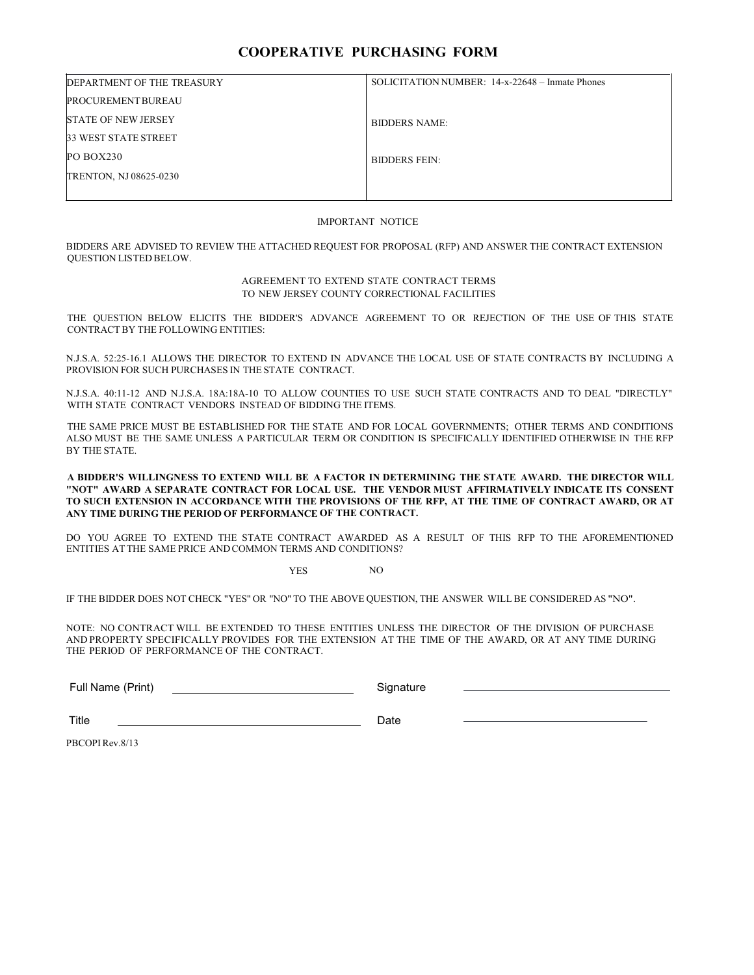#### **COOPERATIVE PURCHASING FORM**

| DEPARTMENT OF THE TREASURY    | SOLICITATION NUMBER: 14-x-22648 - Inmate Phones |
|-------------------------------|-------------------------------------------------|
| <b>PROCUREMENT BUREAU</b>     |                                                 |
| <b>STATE OF NEW JERSEY</b>    | <b>BIDDERS NAME:</b>                            |
| <b>33 WEST STATE STREET</b>   |                                                 |
| PO BOX230                     | <b>BIDDERS FEIN:</b>                            |
| <b>TRENTON, NJ 08625-0230</b> |                                                 |
|                               |                                                 |

#### IMPORTANT NOTICE

BIDDERS ARE ADVISED TO REVIEW THE ATTACHED REQUEST FOR PROPOSAL (RFP) AND ANSWER THE CONTRACT EXTENSION QUESTION LISTED BELOW.

#### AGREEMENT TO EXTEND STATE CONTRACT TERMS TO NEW JERSEY COUNTY CORRECTIONAL FACILITIES

THE QUESTION BELOW ELICITS THE BIDDER'S ADVANCE AGREEMENT TO OR REJECTION OF THE USE OF THIS STATE CONTRACTBY THE FOLLOWING ENTITIES:

N.J.S.A. 52:25-16.1 ALLOWS THE DIRECTOR TO EXTEND IN ADVANCE THE LOCAL USE OF STATE CONTRACTS BY INCLUDING A PROVISION FOR SUCH PURCHASES IN THE STATE CONTRACT.

N.J.S.A. 40:11-12 AND N.J.S.A. 18A:18A-10 TO ALLOW COUNTIES TO USE SUCH STATE CONTRACTS AND TO DEAL "DIRECTLY" WITH STATE CONTRACT VENDORS INSTEAD OF BIDDING THE ITEMS.

THE SAME PRICE MUST BE ESTABLISHED FOR THE STATE AND FOR LOCAL GOVERNMENTS; OTHER TERMS AND CONDITIONS ALSO MUST BE THE SAME UNLESS A PARTICULAR TERM OR CONDITION IS SPECIFICALLY IDENTIFIED OTHERWISE IN THE RFP BY THE STATE.

**A BIDDER'S WILLINGNESS TO EXTEND WILL BE A FACTOR IN DETERMINING THE STATE AWARD. THE DIRECTOR WILL "NOT" AWARD A SEPARATE CONTRACT FOR LOCAL USE. THE VENDOR MUST AFFIRMATIVELY INDICATE ITS CONSENT TO SUCH EXTENSION IN ACCORDANCE WITH THE PROVISIONS OF THE RFP, AT THE TIME OF CONTRACT AWARD, OR AT ANY TIME DURING THE PERIOD OF PERFORMANCE OF THE CONTRACT.**

DO YOU AGREE TO EXTEND THE STATE CONTRACT AWARDED AS A RESULT OF THIS RFP TO THE AFOREMENTIONED ENTITIES AT THE SAME PRICE AND COMMON TERMS AND CONDITIONS?

#### YES NO

IF THE BIDDER DOES NOT CHECK "YES" OR "NO" TO THE ABOVE QUESTION, THE ANSWER WILL BE CONSIDERED AS "NO".

NOTE: NO CONTRACT WILL BE EXTENDED TO THESE ENTITIES UNLESS THE DIRECTOR OF THE DIVISION OF PURCHASE AND PROPERTY SPECIFICALLY PROVIDES FOR THE EXTENSION AT THE TIME OF THE AWARD, OR AT ANY TIME DURING THE PERIOD OF PERFORMANCE OF THE CONTRACT.

Full Name (Print) Signature

Title Date

PBCOPIRev.8/13